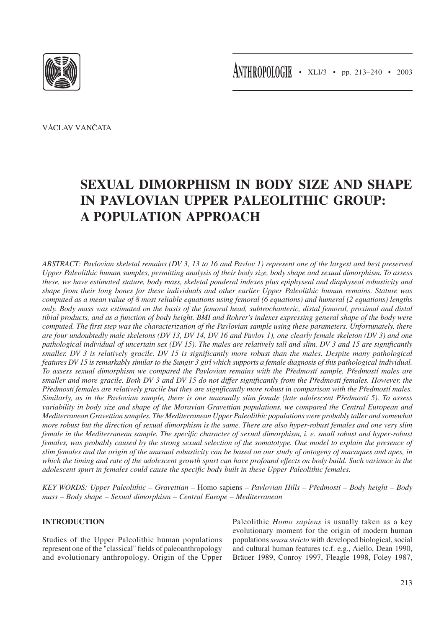



VÁCLAV VANČATA

# **SEXUAL DIMORPHISM IN BODY SIZE AND SHAPE IN PAVLOVIAN UPPER PALEOLITHIC GROUP: A POPULATION APPROACH**

*ABSTRACT: Pavlovian skeletal remains (DV 3, 13 to 16 and Pavlov 1) represent one of the largest and best preserved Upper Paleolithic human samples, permitting analysis of their body size, body shape and sexual dimorphism. To assess these, we have estimated stature, body mass, skeletal ponderal indexes plus epiphyseal and diaphyseal robusticity and shape from their long bones for these individuals and other earlier Upper Paleolithic human remains. Stature was computed as a mean value of 8 most reliable equations using femoral (6 equations) and humeral (2 equations) lengths only. Body mass was estimated on the basis of the femoral head, subtrochanteric, distal femoral, proximal and distal tibial products, and as a function of body height. BMI and Rohrer's indexes expressing general shape of the body were computed. The first step was the characterization of the Pavlovian sample using these parameters. Unfortunately, there are four undoubtedly male skeletons (DV 13, DV 14, DV 16 and Pavlov 1), one clearly female skeleton (DV 3) and one pathological individual of uncertain sex (DV 15). The males are relatively tall and slim. DV 3 and 15 are significantly smaller. DV 3 is relatively gracile. DV 15 is significantly more robust than the males. Despite many pathological features DV 15 is remarkably similar to the Sungir 3 girl which supports a female diagnosis of this pathological individual. To assess sexual dimorphism we compared the Pavlovian remains with the Předmostí sample. Předmostí males are smaller and more gracile. Both DV 3 and DV 15 do not differ significantly from the Předmostí females. However, the Předmostí females are relatively gracile but they are significantly more robust in comparison with the Předmostí males. Similarly, as in the Pavlovian sample, there is one unusually slim female (late adolescent Předmostí 5). To assess variability in body size and shape of the Moravian Gravettian populations, we compared the Central European and Mediterranean Gravettian samples. The Mediterranean Upper Paleolithic populations were probably taller and somewhat more robust but the direction of sexual dimorphism is the same. There are also hyper-robust females and one very slim female in the Mediterranean sample. The specific character of sexual dimorphism, i. e. small robust and hyper-robust females, was probably caused by the strong sexual selection of the somatotype. One model to explain the presence of slim females and the origin of the unusual robusticity can be based on our study of ontogeny of macaques and apes, in which the timing and rate of the adolescent growth spurt can have profound effects on body build. Such variance in the adolescent spurt in females could cause the specific body built in these Upper Paleolithic females.*

*KEY WORDS: Upper Paleolithic – Gravettian –* Homo sapiens *– Pavlovian Hills – Předmostí – Body height – Body mass – Body shape – Sexual dimorphism – Central Europe – Mediterranean*

# **INTRODUCTION**

Studies of the Upper Paleolithic human populations represent one of the "classical" fields of paleoanthropology and evolutionary anthropology. Origin of the Upper Paleolithic *Homo sapiens* is usually taken as a key evolutionary moment for the origin of modern human populations *sensu stricto* with developed biological, social and cultural human features (c.f. e.g., Aiello, Dean 1990, Bräuer 1989, Conroy 1997, Fleagle 1998, Foley 1987,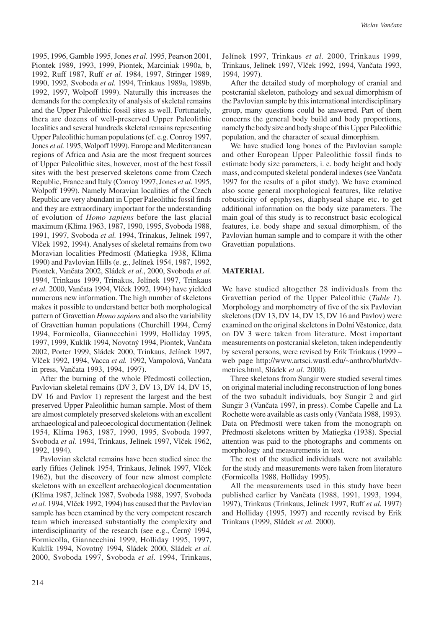1995, 1996, Gamble 1995, Jones *et al.* 1995, Pearson 2001, Piontek 1989, 1993, 1999, Piontek, Marciniak 1990a, b, 1992, Ruff 1987, Ruff *et al.* 1984, 1997, Stringer 1989, 1990, 1992, Svoboda *et al.* 1994, Trinkaus 1989a, 1989b, 1992, 1997, Wolpoff 1999). Naturally this increases the demands for the complexity of analysis of skeletal remains and the Upper Paleolithic fossil sites as well. Fortunately, thera are dozens of well-preserved Upper Paleolithic localities and several hundreds skeletal remains representing Upper Paleolithic human populations (cf. e.g. Conroy 1997, Jones *et al.* 1995, Wolpoff 1999). Europe and Mediterranean regions of Africa and Asia are the most frequent sources of Upper Paleolithic sites, however, most of the best fossil sites with the best preserved skeletons come from Czech Republic, France and Italy (Conroy 1997, Jones *et al.* 1995, Wolpoff 1999). Namely Moravian localities of the Czech Republic are very abundant in Upper Paleolithic fossil finds and they are extraordinary important for the understanding of evolution of *Homo sapiens* before the last glacial maximum (Klíma 1963, 1987, 1990, 1995, Svoboda 1988, 1991, 1997, Svoboda *et al.* 1994, Trinakus, Jelínek 1997, Vlček 1992, 1994). Analyses of skeletal remains from two Moravian localities Předmostí (Matiegka 1938, Klíma 1990) and Pavlovian Hills (e. g., Jelínek 1954, 1987, 1992, Piontek, Vančata 2002, Sládek *et al.*, 2000, Svoboda *et al.* 1994, Trinkaus 1999, Trinakus, Jelínek 1997, Trinkaus *et al.* 2000, Vančata 1994, Vlček 1992, 1994) have yielded numerous new information. The high number of skeletons makes it possible to understand better both morphological pattern of Gravettian *Homo sapiens* and also the variability of Gravettian human populations (Churchill 1994, Černý 1994, Formicolla, Giannecchini 1999, Holliday 1995, 1997, 1999, Kuklík 1994, Novotný 1994, Piontek, Vančata 2002, Porter 1999, Sládek 2000, Trinkaus, Jelínek 1997, Vlček 1992, 1994, Vacca *et al.* 1992, Vampolová, Vančata in press, Vančata 1993, 1994, 1997).

After the burning of the whole Předmostí collection, Pavlovian skeletal remains (DV 3, DV 13, DV 14, DV 15, DV 16 and Pavlov 1) represent the largest and the best preserved Upper Paleolithic human sample. Most of them are almost completely preserved skeletons with an excellent archaeological and paleoecological documentation (Jelínek 1954, Klíma 1963, 1987, 1990, 1995, Svoboda 1997, Svoboda *et al.* 1994, Trinkaus, Jelínek 1997, Vlček 1962, 1992, 1994).

Pavlovian skeletal remains have been studied since the early fifties (Jelínek 1954, Trinkaus, Jelínek 1997, Vlček 1962), but the discovery of four new almost complete skeletons with an excellent archaeological documentation (Klíma 1987, Jelínek 1987, Svoboda 1988, 1997, Svoboda *et al.* 1994, Vlček 1992, 1994) has caused that the Pavlovian sample has been examined by the very competent research team which increased substantially the complexity and interdisciplinarity of the research (see e.g., Černý 1994, Formicolla, Giannecchini 1999, Holliday 1995, 1997, Kuklík 1994, Novotný 1994, Sládek 2000, Sládek *et al.* 2000, Svoboda 1997, Svoboda *et al.* 1994, Trinkaus, Jelínek 1997, Trinkaus *et al.* 2000, Trinkaus 1999, Trinkaus, Jelínek 1997, Vlček 1992, 1994, Vančata 1993, 1994, 1997).

After the detailed study of morphology of cranial and postcranial skeleton, pathology and sexual dimorphism of the Pavlovian sample by this international interdisciplinary group, many questions could be answered. Part of them concerns the general body build and body proportions, namely the body size and body shape of this Upper Paleolithic population, and the character of sexual dimorphism.

We have studied long bones of the Pavlovian sample and other European Upper Paleolithic fossil finds to estimate body size parameters, i. e. body height and body mass, and computed skeletal ponderal indexes (see Vančata 1997 for the results of a pilot study). We have examined also some general morphological features, like relative robusticity of epiphyses, diaphyseal shape etc. to get additional information on the body size parameters. The main goal of this study is to reconstruct basic ecological features, i.e. body shape and sexual dimorphism, of the Pavlovian human sample and to compare it with the other Gravettian populations.

#### **MATERIAL**

We have studied altogether 28 individuals from the Gravettian period of the Upper Paleolithic (*Table 1*). Morphology and morphometry of five of the six Pavlovian skeletons (DV 13, DV 14, DV 15, DV 16 and Pavlov) were examined on the original skeletons in Dolní Věstonice, data on DV 3 were taken from literature. Most important measurements on postcranial skeleton, taken independently by several persons, were revised by Erik Trinkaus (1999 – web page http://www.artsci.wustl.edu/~anthro/blurb/dvmetrics.html, Sládek *et al.* 2000).

Three skeletons from Sungir were studied several times on original material including reconstruction of long bones of the two subadult individuals, boy Sungir 2 and girl Sungir 3 (Vančata 1997, in press). Combe Capelle and La Rochette were available as casts only (Vančata 1988, 1993). Data on Předmostí were taken from the monograph on Předmostí skeletons written by Matiegka (1938). Special attention was paid to the photographs and comments on morphology and measurements in text.

The rest of the studied individuals were not available for the study and measurements were taken from literature (Formicolla 1988, Holliday 1995).

All the measurements used in this study have been published earlier by Vančata (1988, 1991, 1993, 1994, 1997), Trinkaus (Trinkaus, Jelinek 1997, Ruff *et al.* 1997) and Holliday (1995, 1997) and recently revised by Erik Trinkaus (1999, Sládek *et al.* 2000).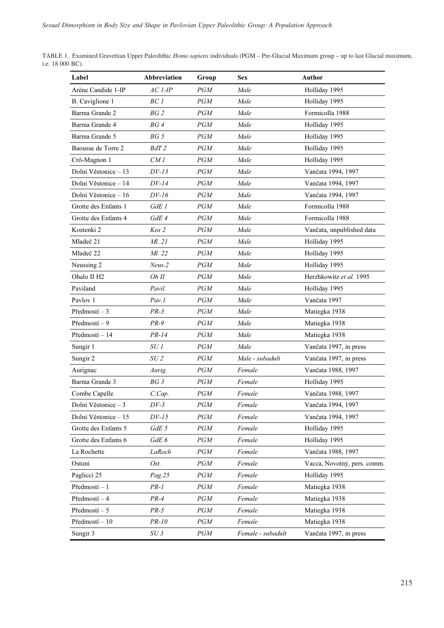| TABLE 1. Examined Gravettian Upper Paleolithic Homo sapiens individuals (PGM - Pre-Glacial Maximum group - up to last Glacial maximum, |  |
|----------------------------------------------------------------------------------------------------------------------------------------|--|
| i.e. $18\ 000\ BC$ ).                                                                                                                  |  |

| Label                   | Abbreviation            | Group      | <b>Sex</b>        | <b>Author</b>               |
|-------------------------|-------------------------|------------|-------------------|-----------------------------|
| Arène Candide 1-IP      | $AC I$ -IP              | PGM        | Male              | Holliday 1995               |
| B. Caviglione 1         | BC1                     | PGM        | Male              | Holliday 1995               |
| Barma Grande 2          | BG <sub>2</sub>         | PGM        | Male              | Formicolla 1988             |
| Barma Grande 4          | BG4                     | PGM        | Male              | Holliday 1995               |
| Barma Grande 5          | BG 5                    | PGM        | Male              | Holliday 1995               |
| Baousse de Torre 2      | BdT <sub>2</sub>        | PGM        | Male              | Holliday 1995               |
| Crô-Magnon 1            | CM 1                    | PGM        | Male              | Holliday 1995               |
| Dolní Věstonice – 13    | $DV-13$                 | PGM        | Male              | Vančata 1994, 1997          |
| Dolní Věstonice – 14    | $DV-14$                 | PGM        | Male              | Vančata 1994, 1997          |
| Dolní Věstonice – 16    | DV-16                   | PGM        | Male              | Vančata 1994, 1997          |
| Grotte des Enfants 1    | GdE 1                   | <b>PGM</b> | Male              | Formicolla 1988             |
| Grotte des Enfants 4    | GdE 4                   | PGM        | Male              | Formicolla 1988             |
| Kostenki 2              | Kos 2                   | PGM        | Male              | Vančata, unpublished data   |
| Mladeč 21               | Ml. 21                  | PGM        | Male              | Holliday 1995               |
| Mladeč 22               | Ml. 22                  | PGM        | Male              | Holliday 1995               |
| Neussing 2              | Neus.2                  | <b>PGM</b> | Male              | Holliday 1995               |
| Ohalo II H <sub>2</sub> | Oh II                   | PGM        | Male              | Herzhkowitz et al. 1995     |
| Paviland                | Pavil.                  | PGM        | Male              | Holliday 1995               |
| Pavlov 1                | Pav.1                   | PGM        | Male              | Vančata 1997                |
| Předmostí – $3$         | $PR-3$                  | PGM        | Male              | Matiegka 1938               |
| Předmostí – 9           | $PR-9$                  | PGM        | Male              | Matiegka 1938               |
| Předmostí – 14          | PR-14                   | PGM        | Male              | Matiegka 1938               |
| Sungir 1                | SU1                     | PGM        | Male              | Vančata 1997, in press      |
| Sungir 2                | SU <sub>2</sub>         | PGM        | Male - subadult   | Vančata 1997, in press      |
| Aurignac                | Aurig.                  | PGM        | Female            | Vančata 1988, 1997          |
| Barma Grande 3          | BG3                     | PGM        | Female            | Holliday 1995               |
| Combe Capelle           | $C_{\cdot} Cap_{\cdot}$ | PGM        | Female            | Vančata 1988, 1997          |
| Dolní Věstonice - 3     | $DV-3$                  | PGM        | Female            | Vančata 1994, 1997          |
| Dolní Věstonice – 15    | $DV-15$                 | PGM        | Female            | Vančata 1994, 1997          |
| Grotte des Enfants 5    | GdE 5                   | PGM        | Female            | Holliday 1995               |
| Grotte des Enfants 6    | GdE 6                   | PGM        | Female            | Holliday 1995               |
| La Rochette             | LaRoch                  | PGM        | Female            | Vančata 1988, 1997          |
| Ostuni                  | Ost.                    | PGM        | Female            | Vacca, Novotný, pers. comm. |
| Paglicci 25             | Pag.25                  | PGM        | Female            | Holliday 1995               |
| Předmostí – 1           | $PR-1$                  | PGM        | Female            | Matiegka 1938               |
| Předmostí – 4           | $PR-4$                  | PGM        | Female            | Matiegka 1938               |
| Předmostí – 5           | $PR-5$                  | PGM        | Female            | Matiegka 1938               |
| Předmostí - 10          | PR-10                   | PGM        | Female            | Matiegka 1938               |
| Sungir 3                | SU3                     | PGM        | Female - subadult | Vančata 1997, in press      |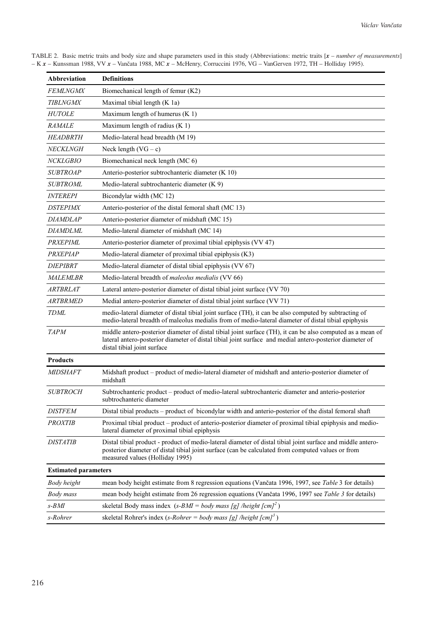| Abbreviation                | <b>Definitions</b>                                                                                                                                                                                                                                    |
|-----------------------------|-------------------------------------------------------------------------------------------------------------------------------------------------------------------------------------------------------------------------------------------------------|
| <b>FEMLNGMX</b>             | Biomechanical length of femur (K2)                                                                                                                                                                                                                    |
| <b>TIBLNGMX</b>             | Maximal tibial length (K 1a)                                                                                                                                                                                                                          |
| <b>HUTOLE</b>               | Maximum length of humerus (K 1)                                                                                                                                                                                                                       |
| <i>RAMALE</i>               | Maximum length of radius $(K 1)$                                                                                                                                                                                                                      |
| <b>HEADBRTH</b>             | Medio-lateral head breadth (M 19)                                                                                                                                                                                                                     |
| NECKLNGH                    | Neck length $(VG - c)$                                                                                                                                                                                                                                |
| <i>NCKLGBIO</i>             | Biomechanical neck length (MC 6)                                                                                                                                                                                                                      |
| <b>SUBTROAP</b>             | Anterio-posterior subtrochanteric diameter (K 10)                                                                                                                                                                                                     |
| <b>SUBTROML</b>             | Medio-lateral subtrochanteric diameter (K 9)                                                                                                                                                                                                          |
| <i><b>INTEREPI</b></i>      | Bicondylar width (MC 12)                                                                                                                                                                                                                              |
| <i>DSTEPIMX</i>             | Anterio-posterior of the distal femoral shaft (MC 13)                                                                                                                                                                                                 |
| <i>DIAMDLAP</i>             | Anterio-posterior diameter of midshaft (MC 15)                                                                                                                                                                                                        |
| DIAMDLML                    | Medio-lateral diameter of midshaft (MC 14)                                                                                                                                                                                                            |
| PRXEPIML                    | Anterio-posterior diameter of proximal tibial epiphysis (VV 47)                                                                                                                                                                                       |
| <b>PRXEPIAP</b>             | Medio-lateral diameter of proximal tibial epiphysis (K3)                                                                                                                                                                                              |
| <i>DIEPIBRT</i>             | Medio-lateral diameter of distal tibial epiphysis (VV 67)                                                                                                                                                                                             |
| <i>MALEMLBR</i>             | Medio-lateral breadth of <i>maleolus medialis</i> (VV 66)                                                                                                                                                                                             |
| ARTBRLAT                    | Lateral antero-posterior diameter of distal tibial joint surface (VV 70)                                                                                                                                                                              |
| <i>ARTBRMED</i>             | Medial antero-posterior diameter of distal tibial joint surface (VV 71)                                                                                                                                                                               |
| <b>TDML</b>                 | medio-lateral diameter of distal tibial joint surface (TH), it can be also computed by subtracting of<br>medio-lateral breadth of maleolus medialis from of medio-lateral diameter of distal tibial epiphysis                                         |
| <b>TAPM</b>                 | middle antero-posterior diameter of distal tibial joint surface (TH), it can be also computed as a mean of<br>lateral antero-posterior diameter of distal tibial joint surface and medial antero-posterior diameter of<br>distal tibial joint surface |
| <b>Products</b>             |                                                                                                                                                                                                                                                       |
| <b>MIDSHAFT</b>             | Midshaft product – product of medio-lateral diameter of midshaft and anterio-posterior diameter of<br>midshaft                                                                                                                                        |
| <b>SUBTROCH</b>             | Subtrochanteric product – product of medio-lateral subtrochanteric diameter and anterio-posterior<br>subtrochanteric diameter                                                                                                                         |
| <i><b>DISTFEM</b></i>       | Distal tibial products – product of bicondylar width and anterio-posterior of the distal femoral shaft                                                                                                                                                |
| <b>PROXTIB</b>              | Proximal tibial product – product of anterio-posterior diameter of proximal tibial epiphysis and medio-<br>lateral diameter of proximal tibial epiphysis                                                                                              |
| <b>DISTATIB</b>             | Distal tibial product - product of medio-lateral diameter of distal tibial joint surface and middle antero-<br>posterior diameter of distal tibial joint surface (can be calculated from computed values or from<br>measured values (Holliday 1995)   |
| <b>Estimated parameters</b> |                                                                                                                                                                                                                                                       |
| Body height                 | mean body height estimate from 8 regression equations (Vančata 1996, 1997, see Table 3 for details)                                                                                                                                                   |
| Body mass                   | mean body height estimate from 26 regression equations (Vančata 1996, 1997 see Table 3 for details)                                                                                                                                                   |
| $s$ -BMI                    | skeletal Body mass index (s-BMI = body mass [g] /height $[cm]^2$ )                                                                                                                                                                                    |
| s-Rohrer                    | skeletal Rohrer's index (s-Rohrer = body mass [g] /height $[cm]^3$ )                                                                                                                                                                                  |
|                             |                                                                                                                                                                                                                                                       |

TABLE 2. Basic metric traits and body size and shape parameters used in this study (Abbreviations: metric traits [*x – number of measurements*] – K *x* – Kunssman 1988, VV *x* – Vančata 1988, MC *x* – McHenry, Corruccini 1976, VG – VanGerven 1972, TH – Holliday 1995).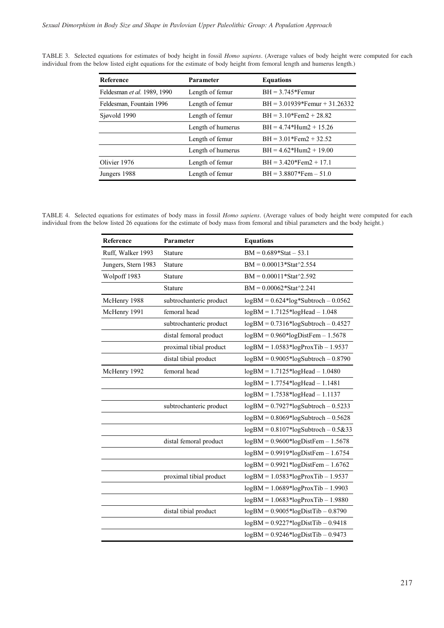| <b>Reference</b>            | Parameter         | <b>Equations</b>                |
|-----------------------------|-------------------|---------------------------------|
| Feldesman et al. 1989, 1990 | Length of femur   | $BH = 3.745*Femur$              |
| Feldesman, Fountain 1996    | Length of femur   | $BH = 3.01939*Femur + 31.26332$ |
| Sjøvold 1990                | Length of femur   | $BH = 3.10*Fem2 + 28.82$        |
|                             | Length of humerus | $BH = 4.74*Hum2 + 15.26$        |
|                             | Length of femur   | $BH = 3.01*Fem2 + 32.52$        |
|                             | Length of humerus | $BH = 4.62*Hum2 + 19.00$        |
| Olivier 1976                | Length of femur   | $BH = 3.420*Fem2 + 17.1$        |
| Jungers 1988                | Length of femur   | $BH = 3.8807*Fem - 51.0$        |

TABLE 3. Selected equations for estimates of body height in fossil *Homo sapiens*. (Average values of body height were computed for each individual from the below listed eight equations for the estimate of body height from femoral length and humerus length.)

TABLE 4. Selected equations for estimates of body mass in fossil *Homo sapiens*. (Average values of body height were computed for each individual from the below listed 26 equations for the estimate of body mass from femoral and tibial parameters and the body height.)

| Reference           | Parameter               | <b>Equations</b>                        |
|---------------------|-------------------------|-----------------------------------------|
| Ruff, Walker 1993   | Stature                 | $BM = 0.689*Stat - 53.1$                |
| Jungers, Stern 1983 | Stature                 | $BM = 0.00013*Stat^2.554$               |
| Wolpoff 1983        | Stature                 | $BM = 0.00011*Stat^2.592$               |
|                     | Stature                 | $BM = 0.00062*Stat^2.241$               |
| McHenry 1988        | subtrochanteric product | $logBM = 0.624 * log*Subtroch - 0.0562$ |
| McHenry 1991        | femoral head            | $logBM = 1.7125 * logHead - 1.048$      |
|                     | subtrochanteric product | $logBM = 0.7316*logSubtroch - 0.4527$   |
|                     | distal femoral product  | $logBM = 0.960*logDistFem - 1.5678$     |
|                     | proximal tibial product | $logBM = 1.0583 * logProxTib - 1.9537$  |
|                     | distal tibial product   | $logBM = 0.9005 * logSubtroch - 0.8790$ |
| McHenry 1992        | femoral head            | $logBM = 1.7125 * logHead - 1.0480$     |
|                     |                         | $logBM = 1.7754 * logHead - 1.1481$     |
|                     |                         | $logBM = 1.7538 * logHead - 1.1137$     |
|                     | subtrochanteric product | $logBM = 0.7927 * logSubtroch - 0.5233$ |
|                     |                         | $logBM = 0.8069*logSubtroch - 0.5628$   |
|                     |                         | $logBM = 0.8107*logSubtroch - 0.5&33$   |
|                     | distal femoral product  | $logBM = 0.9600*logDistFem - 1.5678$    |
|                     |                         | $logBM = 0.9919 * logDistFem - 1.6754$  |
|                     |                         | $logBM = 0.9921 * logDistFem - 1.6762$  |
|                     | proximal tibial product | $logBM = 1.0583 * logProxTib - 1.9537$  |
|                     |                         | $logBM = 1.0689 * logProxTib - 1.9903$  |
|                     |                         | $logBM = 1.0683 * logProxTib - 1.9880$  |
|                     | distal tibial product   | $logBM = 0.9005 * logDistTip - 0.8790$  |
|                     |                         | $logBM = 0.9227 * logDist Tib - 0.9418$ |
|                     |                         | $logBM = 0.9246 * logDist Tib - 0.9473$ |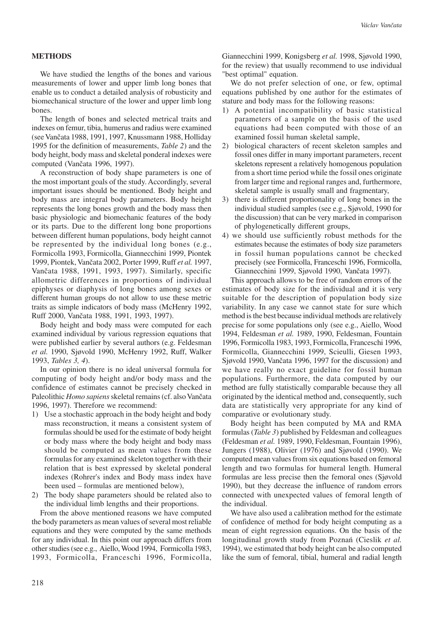#### **METHODS**

We have studied the lengths of the bones and various measurements of lower and upper limb long bones that enable us to conduct a detailed analysis of robusticity and biomechanical structure of the lower and upper limb long bones.

The length of bones and selected metrical traits and indexes on femur, tibia, humerus and radius were examined (see Vančata 1988, 1991, 1997, Knussmann 1988, Holliday 1995 for the definition of measurements, *Table 2*) and the body height, body mass and skeletal ponderal indexes were computed (Vančata 1996, 1997).

A reconstruction of body shape parameters is one of the most important goals of the study. Accordingly, several important issues should be mentioned. Body height and body mass are integral body parameters. Body height represents the long bones growth and the body mass then basic physiologic and biomechanic features of the body or its parts. Due to the different long bone proportions between different human populations, body height cannot be represented by the individual long bones (e.g., Formicolla 1993, Formicolla, Giannecchini 1999, Piontek 1999, Piontek, Vančata 2002, Porter 1999, Ruff *et al.* 1997, Vančata 1988, 1991, 1993, 1997). Similarly, specific allometric differences in proportions of individual epiphyses or diaphysis of long bones among sexes or different human groups do not allow to use these metric traits as simple indicators of body mass (McHenry 1992, Ruff 2000, Vančata 1988, 1991, 1993, 1997).

Body height and body mass were computed for each examined individual by various regression equations that were published earlier by several authors (e.g. Feldesman *et al.* 1990, Sjøvold 1990, McHenry 1992, Ruff, Walker 1993, *Tables 3, 4*).

In our opinion there is no ideal universal formula for computing of body height and/or body mass and the confidence of estimates cannot be precisely checked in Paleolithic *Homo sapiens* skeletal remains (cf. also Vančata 1996, 1997). Therefore we recommend:

- 1) Use a stochastic approach in the body height and body mass reconstruction, it means a consistent system of formulas should be used for the estimate of body height or body mass where the body height and body mass should be computed as mean values from these formulas for any examined skeleton together with their relation that is best expressed by skeletal ponderal indexes (Rohrer's index and Body mass index have been used – formulas are mentioned below),
- 2) The body shape parameters should be related also to the individual limb lengths and their proportions.

From the above mentioned reasons we have computed the body parameters as mean values of several most reliable equations and they were computed by the same methods for any individual. In this point our approach differs from other studies (see e.g., Aiello, Wood 1994, Formicolla 1983, 1993, Formicolla, Franceschi 1996, Formicolla, Giannecchini 1999, Konigsberg *et al.* 1998, Sjøvold 1990, for the review) that usually recommend to use individual "best optimal" equation.

We do not prefer selection of one, or few, optimal equations published by one author for the estimates of stature and body mass for the following reasons:

- 1) A potential incompatibility of basic statistical parameters of a sample on the basis of the used equations had been computed with those of an examined fossil human skeletal sample,
- 2) biological characters of recent skeleton samples and fossil ones differ in many important parameters, recent skeletons represent a relatively homogenous population from a short time period while the fossil ones originate from larger time and regional ranges and, furthermore, skeletal sample is usually small and fragmentary,
- 3) there is different proportionality of long bones in the individual studied samples (see e.g., Sjøvold, 1990 for the discussion) that can be very marked in comparison of phylogenetically different groups,
- 4) we should use sufficiently robust methods for the estimates because the estimates of body size parameters in fossil human populations cannot be checked precisely (see Formicolla, Franceschi 1996, Formicolla, Giannecchini 1999, Sjøvold 1990, Vančata 1997).

This approach allows to be free of random errors of the estimates of body size for the individual and it is very suitable for the description of population body size variability. In any case we cannot state for sure which method is the best because individual methods are relatively precise for some populations only (see e.g., Aiello, Wood 1994, Feldesman *et al.* 1989, 1990, Feldesman, Fountain 1996, Formicolla 1983, 1993, Formicolla, Franceschi 1996, Formicolla, Giannecchini 1999, Scieulli, Giesen 1993, Sjøvold 1990, Vančata 1996, 1997 for the discussion) and we have really no exact guideline for fossil human populations. Furthermore, the data computed by our method are fully statistically comparable because they all originated by the identical method and, consequently, such data are statistically very appropriate for any kind of comparative or evolutionary study.

Body height has been computed by MA and RMA formulas (*Table 3*) published by Feldesman and colleagues (Feldesman *et al.* 1989, 1990, Feldesman, Fountain 1996), Jungers (1988), Olivier (1976) and Sjøvold (1990). We computed mean values from six equations based on femoral length and two formulas for humeral length. Humeral formulas are less precise then the femoral ones (Sjøvold 1990), but they decrease the influence of random errors connected with unexpected values of femoral length of the individual.

We have also used a calibration method for the estimate of confidence of method for body height computing as a mean of eight regression equations. On the basis of the longitudinal growth study from Poznań (Cieslik *et al.* 1994), we estimated that body height can be also computed like the sum of femoral, tibial, humeral and radial length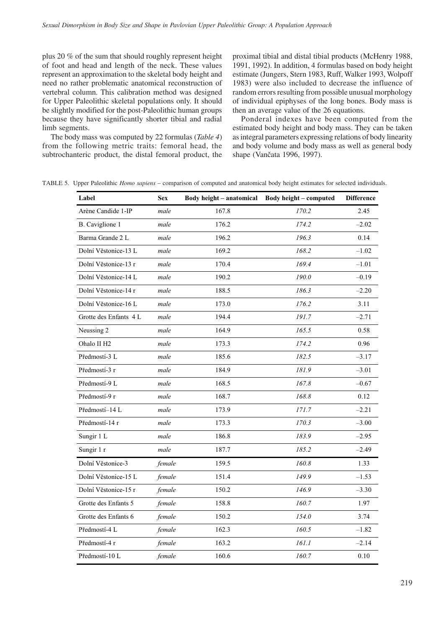plus 20 % of the sum that should roughly represent height of foot and head and length of the neck. These values represent an approximation to the skeletal body height and need no rather problematic anatomical reconstruction of vertebral column. This calibration method was designed for Upper Paleolithic skeletal populations only. It should be slightly modified for the post-Paleolithic human groups because they have significantly shorter tibial and radial limb segments.

The body mass was computed by 22 formulas (*Table 4*) from the following metric traits: femoral head, the subtrochanteric product, the distal femoral product, the proximal tibial and distal tibial products (McHenry 1988, 1991, 1992). In addition, 4 formulas based on body height estimate (Jungers, Stern 1983, Ruff, Walker 1993, Wolpoff 1983) were also included to decrease the influence of random errors resulting from possible unusual morphology of individual epiphyses of the long bones. Body mass is then an average value of the 26 equations.

Ponderal indexes have been computed from the estimated body height and body mass. They can be taken as integral parameters expressing relations of body linearity and body volume and body mass as well as general body shape (Vančata 1996, 1997).

TABLE 5. Upper Paleolithic *Homo sapiens* – comparison of computed and anatomical body height estimates for selected individuals.

| Label                  | <b>Sex</b> | Body height - anatomical | Body height - computed | <b>Difference</b> |
|------------------------|------------|--------------------------|------------------------|-------------------|
| Arène Candide 1-IP     | male       | 167.8                    | 170.2                  | 2.45              |
| B. Caviglione 1        | male       | 176.2                    | 174.2                  | $-2.02$           |
| Barma Grande 2 L       | male       | 196.2                    | 196.3                  | 0.14              |
| Dolní Věstonice-13 L   | male       | 169.2                    | 168.2                  | $-1.02$           |
| Dolní Věstonice-13 r   | male       | 170.4                    | 169.4                  | $-1.01$           |
| Dolní Věstonice-14 L   | male       | 190.2                    | 190.0                  | $-0.19$           |
| Dolní Věstonice-14 r   | male       | 188.5                    | 186.3                  | $-2.20$           |
| Dolní Věstonice-16 L   | male       | 173.0                    | 176.2                  | 3.11              |
| Grotte des Enfants 4 L | male       | 194.4                    | 191.7                  | $-2.71$           |
| Neussing 2             | male       | 164.9                    | 165.5                  | 0.58              |
| Ohalo II H2            | male       | 173.3                    | 174.2                  | 0.96              |
| Předmostí-3 L          | male       | 185.6                    | 182.5                  | $-3.17$           |
| Předmostí-3 r          | male       | 184.9                    | 181.9                  | $-3.01$           |
| Předmostí-9 L          | male       | 168.5                    | 167.8                  | $-0.67$           |
| Předmostí-9 r          | male       | 168.7                    | 168.8                  | 0.12              |
| Předmostí-14 L         | male       | 173.9                    | 171.7                  | $-2.21$           |
| Předmostí-14 r         | male       | 173.3                    | 170.3                  | $-3.00$           |
| Sungir 1 L             | male       | 186.8                    | 183.9                  | $-2.95$           |
| Sungir 1 r             | male       | 187.7                    | 185.2                  | $-2.49$           |
| Dolní Věstonice-3      | female     | 159.5                    | 160.8                  | 1.33              |
| Dolní Věstonice-15 L   | female     | 151.4                    | 149.9                  | $-1.53$           |
| Dolní Věstonice-15 r   | female     | 150.2                    | 146.9                  | $-3.30$           |
| Grotte des Enfants 5   | female     | 158.8                    | 160.7                  | 1.97              |
| Grotte des Enfants 6   | female     | 150.2                    | 154.0                  | 3.74              |
| Předmostí-4 L          | female     | 162.3                    | 160.5                  | $-1.82$           |
| Předmostí-4 r          | female     | 163.2                    | 161.1                  | $-2.14$           |
| Předmostí-10 L         | female     | 160.6                    | 160.7                  | 0.10              |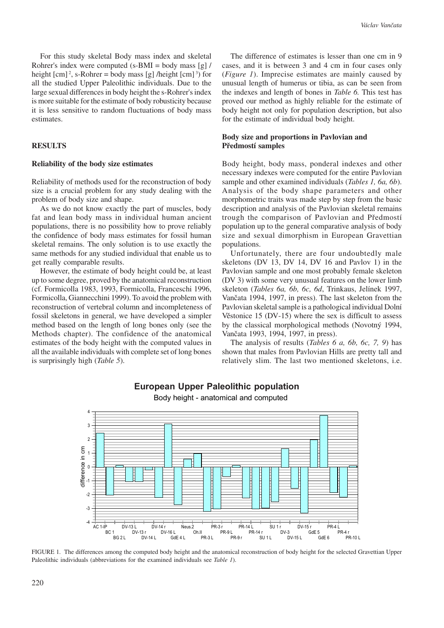For this study skeletal Body mass index and skeletal Rohrer's index were computed  $(s-BMI = body \text{ mass [g]}$ height  $\lceil \text{cm} \rceil^2$ , s-Rohrer = body mass  $\lceil \text{g} \rceil$  /height  $\lceil \text{cm} \rceil^3$ ) for all the studied Upper Paleolithic individuals. Due to the large sexual differences in body height the s-Rohrer's index is more suitable for the estimate of body robusticity because it is less sensitive to random fluctuations of body mass estimates.

# **RESULTS**

#### **Reliability of the body size estimates**

Reliability of methods used for the reconstruction of body size is a crucial problem for any study dealing with the problem of body size and shape.

As we do not know exactly the part of muscles, body fat and lean body mass in individual human ancient populations, there is no possibility how to prove reliably the confidence of body mass estimates for fossil human skeletal remains. The only solution is to use exactly the same methods for any studied individual that enable us to get really comparable results.

However, the estimate of body height could be, at least up to some degree, proved by the anatomical reconstruction (cf. Formicolla 1983, 1993, Formicolla, Franceschi 1996, Formicolla, Giannecchini 1999). To avoid the problem with reconstruction of vertebral column and incompleteness of fossil skeletons in general, we have developed a simpler method based on the length of long bones only (see the Methods chapter). The confidence of the anatomical estimates of the body height with the computed values in all the available individuals with complete set of long bones is surprisingly high (*Table 5*).

The difference of estimates is lesser than one cm in 9 cases, and it is between 3 and 4 cm in four cases only (*Figure 1*). Imprecise estimates are mainly caused by unusual length of humerus or tibia, as can be seen from the indexes and length of bones in *Table 6.* This test has proved our method as highly reliable for the estimate of body height not only for population description, but also for the estimate of individual body height.

## **Body size and proportions in Pavlovian and Předmostí samples**

Body height, body mass, ponderal indexes and other necessary indexes were computed for the entire Pavlovian sample and other examined individuals (*Tables 1, 6a, 6b*). Analysis of the body shape parameters and other morphometric traits was made step by step from the basic description and analysis of the Pavlovian skeletal remains trough the comparison of Pavlovian and Předmostí population up to the general comparative analysis of body size and sexual dimorphism in European Gravettian populations.

Unfortunately, there are four undoubtedly male skeletons (DV 13, DV 14, DV 16 and Pavlov 1) in the Pavlovian sample and one most probably female skeleton (DV 3) with some very unusual features on the lower limb skeleton (*Tables 6a, 6b, 6c, 6d*, Trinkaus, Jelínek 1997, Vančata 1994, 1997, in press). The last skeleton from the Pavlovian skeletal sample is a pathological individual Dolní Věstonice 15 (DV-15) where the sex is difficult to assess by the classical morphological methods (Novotný 1994, Vančata 1993, 1994, 1997, in press).

The analysis of results (*Tables 6 a, 6b, 6c, 7, 9*) has shown that males from Pavlovian Hills are pretty tall and relatively slim. The last two mentioned skeletons, i.e.



## European Upper Paleolithic population

Body height - anatomical and computed

FIGURE 1. The differences among the computed body height and the anatomical reconstruction of body height for the selected Gravettian Upper Paleolithic individuals (abbreviations for the examined individuals see *Table 1*).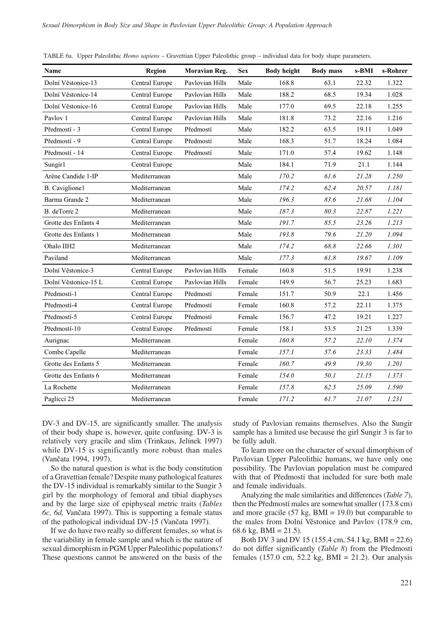| Name                 | Region         | Moravian Reg.   | <b>Sex</b> | <b>Body height</b> | <b>Body mass</b> | s-BMI | s-Rohrer |
|----------------------|----------------|-----------------|------------|--------------------|------------------|-------|----------|
| Dolní Věstonice-13   | Central Europe | Pavlovian Hills | Male       | 168.8              | 63.1             | 22.32 | 1.322    |
| Dolní Věstonice-14   | Central Europe | Pavlovian Hills | Male       | 188.2              | 68.5             | 19.34 | 1.028    |
| Dolní Věstonice-16   | Central Europe | Pavlovian Hills | Male       | 177.0              | 69.5             | 22.18 | 1.255    |
| Pavlov 1             | Central Europe | Pavlovian Hills | Male       | 181.8              | 73.2             | 22.16 | 1.216    |
| Předmostí - 3        | Central Europe | Předmostí       | Male       | 182.2              | 63.5             | 19.11 | 1.049    |
| Předmostí - 9        | Central Europe | Předmostí       | Male       | 168.3              | 51.7             | 18.24 | 1.084    |
| Předmostí - 14       | Central Europe | Předmostí       | Male       | 171.0              | 57.4             | 19.62 | 1.148    |
| Sungir1              | Central Europe |                 | Male       | 184.1              | 71.9             | 21.1  | 1.144    |
| Arène Candide 1-IP   | Mediterranean  |                 | Male       | 170.2              | 61.6             | 21.28 | 1.250    |
| B. Caviglione1       | Mediterranean  |                 | Male       | 174.2              | 62.4             | 20.57 | 1.181    |
| Barma Grande 2       | Mediterranean  |                 | Male       | 196.3              | 83.6             | 21.68 | 1.104    |
| B. deTorre 2         | Mediterranean  |                 | Male       | 187.3              | 80.3             | 22.87 | 1.221    |
| Grotte des Enfants 4 | Mediterranean  |                 | Male       | 191.7              | 85.5             | 23.26 | 1.213    |
| Grotte des Enfants 1 | Mediterranean  |                 | Male       | 193.8              | 79.6             | 21.20 | 1.094    |
| Ohalo IIH2           | Mediterranean  |                 | Male       | 174.2              | 68.8             | 22.66 | 1.301    |
| Paviland             | Mediterranean  |                 | Male       | 177.3              | 61.8             | 19.67 | 1.109    |
| Dolní Věstonice-3    | Central Europe | Pavlovian Hills | Female     | 160.8              | 51.5             | 19.91 | 1.238    |
| Dolní Věstonice-15 L | Central Europe | Pavlovian Hills | Female     | 149.9              | 56.7             | 25.23 | 1.683    |
| Předmostí-1          | Central Europe | Předmostí       | Female     | 151.7              | 50.9             | 22.1  | 1.456    |
| Předmostí-4          | Central Europe | Předmostí       | Female     | 160.8              | 57.2             | 22.11 | 1.375    |
| Předmostí-5          | Central Europe | Předmostí       | Female     | 156.7              | 47.2             | 19.21 | 1.227    |
| Předmostí-10         | Central Europe | Předmostí       | Female     | 158.1              | 53.5             | 21.25 | 1.339    |
| Aurignac             | Mediterranean  |                 | Female     | 160.8              | 57.2             | 22.10 | 1.374    |
| Combe Capelle        | Mediterranean  |                 | Female     | 157.1              | 57.6             | 23.33 | 1.484    |
| Grotte des Enfants 5 | Mediterranean  |                 | Female     | 160.7              | 49.9             | 19.30 | 1.201    |
| Grotte des Enfants 6 | Mediterranean  |                 | Female     | 154.0              | 50.1             | 21.15 | 1.373    |
| La Rochette          | Mediterranean  |                 | Female     | 157.8              | 62.5             | 25.09 | 1.590    |
| Paglicci 25          | Mediterranean  |                 | Female     | 171.2              | 61.7             | 21.07 | 1.231    |

TABLE 6a. Upper Paleolithic *Homo sapiens* – Gravettian Upper Paleolithic group – individual data for body shape parameters.

DV-3 and DV-15, are significantly smaller. The analysis of their body shape is, however, quite confusing. DV-3 is relatively very gracile and slim (Trinkaus, Jelínek 1997) while DV-15 is significantly more robust than males (Vančata 1994, 1997).

So the natural question is what is the body constitution of a Gravettian female? Despite many pathological features the DV-15 individual is remarkably similar to the Sungir 3 girl by the morphology of femoral and tibial diaphyses and by the large size of epiphyseal metric traits (*Tables 6c, 6d,* Vančata 1997). This is supporting a female status of the pathological individual DV-15 (Vančata 1997).

If we do have two really so different females, so what is the variability in female sample and which is the nature of sexual dimorphism in PGM Upper Paleolithic populations? These questions cannot be answered on the basis of the

study of Pavlovian remains themselves. Also the Sungir sample has a limited use because the girl Sungir 3 is far to be fully adult.

To learn more on the character of sexual dimorphism of Pavlovian Upper Paleolithic humans, we have only one possibility. The Pavlovian population must be compared with that of Předmostí that included for sure both male and female individuals.

Analyzing the male similarities and differences (*Table 7*), then the Předmostí males are somewhat smaller (173.8 cm) and more gracile (57 kg,  $BMI = 19.0$ ) but comparable to the males from Dolní Věstonice and Pavlov (178.9 cm, 68.6 kg, BMI =  $21.5$ ).

Both DV 3 and DV 15 (155.4 cm, 54.1 kg, BMI = 22.6) do not differ significantly (*Table 8*) from the Předmostí females (157.0 cm, 52.2 kg, BMI = 21.2). Our analysis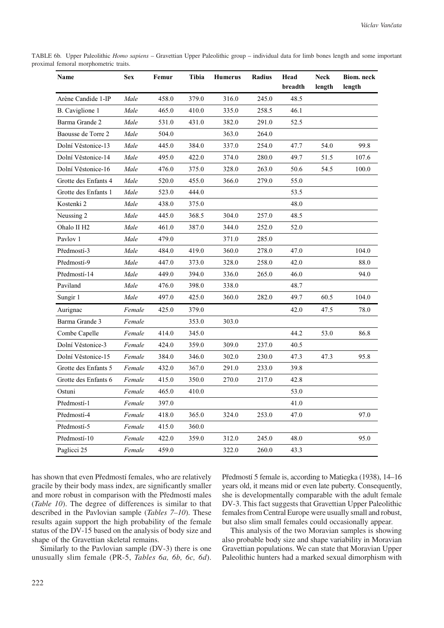TABLE 6b. Upper Paleolithic *Homo sapiens* – Gravettian Upper Paleolithic group – individual data for limb bones length and some important proximal femoral morphometric traits.

| Name                    | <b>Sex</b> | Femur | Tibia | <b>Humerus</b> | Radius | Head<br>breadth | <b>Neck</b><br>length | Biom. neck<br>length |
|-------------------------|------------|-------|-------|----------------|--------|-----------------|-----------------------|----------------------|
| Arène Candide 1-IP      | Male       | 458.0 | 379.0 | 316.0          | 245.0  | 48.5            |                       |                      |
| B. Caviglione 1         | Male       | 465.0 | 410.0 | 335.0          | 258.5  | 46.1            |                       |                      |
| Barma Grande 2          | Male       | 531.0 | 431.0 | 382.0          | 291.0  | 52.5            |                       |                      |
| Baousse de Torre 2      | Male       | 504.0 |       | 363.0          | 264.0  |                 |                       |                      |
| Dolní Věstonice-13      | Male       | 445.0 | 384.0 | 337.0          | 254.0  | 47.7            | 54.0                  | 99.8                 |
| Dolní Věstonice-14      | Male       | 495.0 | 422.0 | 374.0          | 280.0  | 49.7            | 51.5                  | 107.6                |
| Dolní Věstonice-16      | Male       | 476.0 | 375.0 | 328.0          | 263.0  | 50.6            | 54.5                  | 100.0                |
| Grotte des Enfants 4    | Male       | 520.0 | 455.0 | 366.0          | 279.0  | 55.0            |                       |                      |
| Grotte des Enfants 1    | Male       | 523.0 | 444.0 |                |        | 53.5            |                       |                      |
| Kostenki 2              | Male       | 438.0 | 375.0 |                |        | 48.0            |                       |                      |
| Neussing 2              | Male       | 445.0 | 368.5 | 304.0          | 257.0  | 48.5            |                       |                      |
| Ohalo II H <sub>2</sub> | Male       | 461.0 | 387.0 | 344.0          | 252.0  | 52.0            |                       |                      |
| Pavlov 1                | Male       | 479.0 |       | 371.0          | 285.0  |                 |                       |                      |
| Předmostí-3             | Male       | 484.0 | 419.0 | 360.0          | 278.0  | 47.0            |                       | 104.0                |
| Předmostí-9             | Male       | 447.0 | 373.0 | 328.0          | 258.0  | 42.0            |                       | 88.0                 |
| Předmostí-14            | Male       | 449.0 | 394.0 | 336.0          | 265.0  | 46.0            |                       | 94.0                 |
| Paviland                | Male       | 476.0 | 398.0 | 338.0          |        | 48.7            |                       |                      |
| Sungir 1                | Male       | 497.0 | 425.0 | 360.0          | 282.0  | 49.7            | 60.5                  | 104.0                |
| Aurignac                | Female     | 425.0 | 379.0 |                |        | 42.0            | 47.5                  | 78.0                 |
| Barma Grande 3          | Female     |       | 353.0 | 303.0          |        |                 |                       |                      |
| Combe Capelle           | Female     | 414.0 | 345.0 |                |        | 44.2            | 53.0                  | 86.8                 |
| Dolní Věstonice-3       | Female     | 424.0 | 359.0 | 309.0          | 237.0  | 40.5            |                       |                      |
| Dolní Věstonice-15      | Female     | 384.0 | 346.0 | 302.0          | 230.0  | 47.3            | 47.3                  | 95.8                 |
| Grotte des Enfants 5    | Female     | 432.0 | 367.0 | 291.0          | 233.0  | 39.8            |                       |                      |
| Grotte des Enfants 6    | Female     | 415.0 | 350.0 | 270.0          | 217.0  | 42.8            |                       |                      |
| Ostuni                  | Female     | 465.0 | 410.0 |                |        | 53.0            |                       |                      |
| Předmostí-1             | Female     | 397.0 |       |                |        | 41.0            |                       |                      |
| Předmostí-4             | Female     | 418.0 | 365.0 | 324.0          | 253.0  | 47.0            |                       | 97.0                 |
| Předmostí-5             | Female     | 415.0 | 360.0 |                |        |                 |                       |                      |
| Předmostí-10            | Female     | 422.0 | 359.0 | 312.0          | 245.0  | 48.0            |                       | 95.0                 |
| Paglicci 25             | Female     | 459.0 |       | 322.0          | 260.0  | 43.3            |                       |                      |

has shown that even Předmostí females, who are relatively gracile by their body mass index, are significantly smaller and more robust in comparison with the Předmostí males (*Table 10*). The degree of differences is similar to that described in the Pavlovian sample (*Tables 7–10*). These results again support the high probability of the female status of the DV-15 based on the analysis of body size and shape of the Gravettian skeletal remains.

Similarly to the Pavlovian sample (DV-3) there is one unusually slim female (PR-5, *Tables 6a, 6b, 6c, 6d*). Předmostí 5 female is, according to Matiegka (1938), 14–16 years old, it means mid or even late puberty. Consequently, she is developmentally comparable with the adult female DV-3. This fact suggests that Gravettian Upper Paleolithic females from Central Europe were usually small and robust, but also slim small females could occasionally appear.

This analysis of the two Moravian samples is showing also probable body size and shape variability in Moravian Gravettian populations. We can state that Moravian Upper Paleolithic hunters had a marked sexual dimorphism with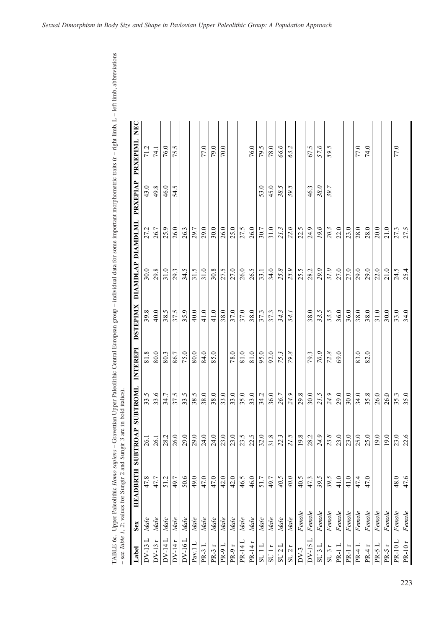| Label                     | Sex    | HEADBRTH | SUBTROAP | <b>SUBTROM</b> | INTEREPI    | <b>DSTEPIMX</b> | <b>DIAMDLAP</b> | DIAMDLML | <b>PRXEPIAP</b> | NEC<br>PRXEPIML |
|---------------------------|--------|----------|----------|----------------|-------------|-----------------|-----------------|----------|-----------------|-----------------|
| $DV-13$                   | Male   | 47.8     | 26.1     | 33.5           | 81.8        | 39.8            | 30.0            | 27.2     | 43.0            |                 |
| $DV-13$                   | Male   | 47.7     | 26.1     | 33.6           | 80.0        | 40.0            | 29.8            | 26.7     | 49.8            | 74.1            |
| $DV-14L$                  | Male   | 51.2     | 28.2     | 34.7           | 80.3        | 38.5            | 31.0            | 25.9     | 46.0            | 76.0            |
| $DV-14r$                  | Male   | 49.7     | 26.0     | 37.5           | 86.7        | 37.5            | 29.3            | 26.0     | 54.5            | 75.5            |
| $DV-16L$                  | Male   | 50.6     | 29.0     | 33.5           | 75.0        | 35.9            | 34.5            | 26.3     |                 |                 |
| Pav. $1 L$                | Male   | 49.0     | 29.0     | 38.5           | 80.0        | 40.0            | 31.5            | 29.7     |                 |                 |
| PR-3L                     | Male   | 47.0     | 24.0     | 38.0           | 84.0        | 41.0            | 31.0            | 29.0     |                 | 77.0            |
| PR-3 r                    | Male   | 47.0     | 24.0     | 38.0           | 85.0        | 41.0            | 30.8            | 30.0     |                 | 79.0            |
| <b>PR-9L</b>              | Male   | 42.0     | 23.0     | 33.0           |             | 38.0            | 27.5            | 26.0     |                 | 70.0            |
| PR-9r                     | Male   | 42.0     | 23.0     | 33.0           | 78.0        | 37.0            | 27.0            | 25.0     |                 |                 |
| PR-14 L                   | Male   | 46.5     | 23.5     | 35.0           | 81.0        | 37.0            | 26.0            | 27.5     |                 |                 |
| PR-14r                    | Male   | 46.0     | 22.5     | 33.0           | 81.0        | 38.0            | 26.5            | 26.0     |                 | 76.0            |
| 5U1L                      | Male   | 51.7     | 32.0     | 34.2           | 95.0        | 37.3            | 33.1            | 30.7     | 53.0            | 79.5            |
| SU1r                      | Male   | 49.7     | 31.8     | 36.0           | 92.0        | 37.3            | 34.0            | 31.0     | 45.0            | 78.0            |
| SU 2 L                    | Male   | 40.5     | 22.3     | 26.7           | 75.3        | 34.3            | 25.8            | 21.3     | 38.5            | 66.0            |
| SU2r                      | Male   | 40.0     | 21.5     | 24.9           | 79.8        | 341             | 25.9            | 22.0     | 39.5            | 63.2            |
| $DV-3$                    | Fenale | 40.5     | 19.8     | 29.8           |             |                 | 25.5            | 22.5     |                 |                 |
| $\overline{a}$<br>$DV-15$ | Female | 47.3     | 28.2     | 30.0           | 79.3        | 38.0            | 28.2            | 24.9     | 46.3            | 67.5            |
| SU3L                      | Female | 39.5     | 24.9     | 21.5           | $0.0\sigma$ | 33.5            | 29.0            | 19.0     | 38.0            | 57.0            |
| SU3r                      | Female | 39.5     | 23.8     | 24.9           | 72.8        | 33.5            | 31.0            | 20.3     | 39.7            | 59.5            |
| PR-1                      | Fenale | 41.0     | 23.0     | 29.0           | 69.0        | 36.0            | 27.0            | 22.0     |                 |                 |
| PR-1r                     | Female | 41.0     | 23.0     | 30.0           |             | 36.0            | 27.0            | 23.0     |                 |                 |
| $PR-4L$                   | Female | 47.4     | 25.0     | 34.0           | 83.0        | 38.0            | 29.0            | 28.0     |                 | 77.0            |
| PR-4r                     | Female | 47.0     | 25.0     | 35.8           | 82.0        | 38.0            | 29.0            | 28.0     |                 | 74.0            |
| $PR-5L$                   | Female |          | 19.0     | 26.0           |             | 31.0            | 22.0            | 20.0     |                 |                 |
| PR-5r                     | Fenale |          | 19.0     | 26.0           |             | 30.0            | 21.0            | 21.0     |                 |                 |
| <b>PR-10L</b>             | Female | 48.0     | 23.0     | 35.3           |             | 33.0            | 24.5            | 27.3     |                 | 77.0            |
| <b>PR-10r</b>             | Fenale | 47.6     | 22.6     | 35.0           |             | 34.0            | 25.4            | 27.5     |                 |                 |

TABLE 6c. Upper Paleolithic Homo sapiens - Gravettian Upper Paleolithic Central European group - individual data for some important morphometric traits (r - right limb, L - left limb, abbreviations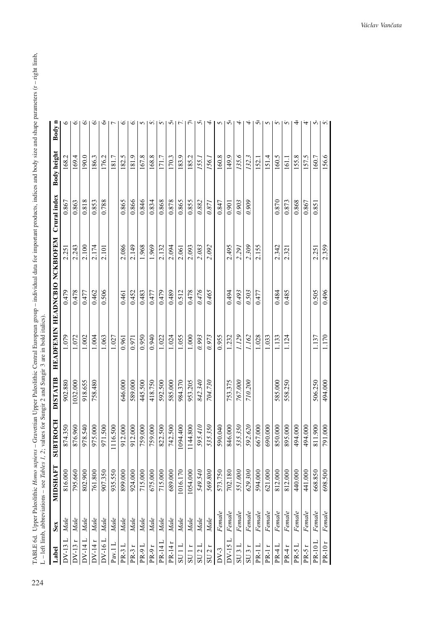TABLE 6d. Upper Paleolithic Homo sapiens – Gravettian Upper Paleolithic Central European group – individual data for important products, indices and body size and shape parameters (r – right limb, 1.–1eft limb abbreviatio TABLE 6d. Upper Paleolithic *Homo sapiens* – Gravettian Upper Paleolithic Central European group – individual data for important products, indices and body size and shape parameters (r – right limb, L – left limb, abbreviations – see *Tables 1, 2*; values for Sungir 2 and Sungir 3 are in bold italics).

|               |        | $L = I$ is a subsequently and $I = I$ and $I = I$ |                   |                 | $\frac{1}{2}$ values ion sumplies and $\frac{1}{2}$ and $\frac{1}{2}$ are in contracted. |                     |       |              |             |                |
|---------------|--------|---------------------------------------------------|-------------------|-----------------|------------------------------------------------------------------------------------------|---------------------|-------|--------------|-------------|----------------|
| Label         | Sex    | <b>MIDSHAFT</b>                                   | <b>EDOCH</b><br>5 | <b>DISTATIB</b> | <b>HEADFEMIN</b>                                                                         | HEADNCBIO NCKBIOFEM |       | Crural index | Body height | Body n         |
| $DV-13$       | Male   | 816.000                                           | 874.350           | 902.880         | 1.079                                                                                    | 0.479               | 2.251 | 0.867        | 168.2       | $\circ$        |
| $DV-13r$      | Male   | 795.660                                           | 876.960           | 032.000         | 1.072                                                                                    | 0.478               | 2.243 | 0.863        | 169.4       | Ö              |
| $DV-14$       | Male   | 802.900                                           | 978.540           | 918.655         | 1.002                                                                                    | 0.477               | 2.100 | 0.818        | 190.0       | Ö              |
| $DV-14r$      | Male   | 761.800                                           | 975.000           | 758.480         | 1.004                                                                                    | 0.462               | 2.174 | 0.853        | 186.3       | Ö              |
| DV-16 L       | Male   | 907.350                                           | 971.500           |                 | 1.063                                                                                    | 0.506               | 2.101 | 0.788        | 176.2       | Ğ              |
| Pav.1L        | Male   | 935.550                                           | 1116.500          |                 | 1.027                                                                                    |                     |       |              | 181.7       | $\overline{ }$ |
| $PR-3L$       | Male   | 899.000                                           | 912.000           | 646.000         | 0.961                                                                                    | 0.461               | 2.086 | 0.865        | 182.5       | Ö              |
| PR-3r         | Male   | 924.000                                           | 912.000           | 589.000         | 0.971                                                                                    | 0.452               | 2.149 | 0.866        | 181.9       | ৩              |
| PR-9L         | Male   | 715.000                                           | 759.000           | 445.500         | 0.950                                                                                    | 0.483               | 1.968 | 0.846        | 167.8       | S              |
| PR-9r         | Male   | 675.000                                           | 759.000           | 418.750         | 0.940                                                                                    | 0.477               | 1.969 | 0.834        | 168.8       | n              |
| PR-14 L       | Male   | 715.000                                           | 822.500           | 592.500         | 1.022                                                                                    | 0.479               | 2.132 | 0.868        | 171.7       | S              |
| PR-14r        | Male   | 689.000                                           | 742.500           | 585.000         | 1.024                                                                                    | 0.489               | 2.094 | 0.878        | 170.3       | Ū              |
| SU1L          | Male   | 016.170                                           | 1094.400          | 984.370         | 1.055                                                                                    | 0.512               | 2.061 | 0.865        | 183.9       | $\sim$         |
| SU1r          | Male   | 1054.000                                          | 1144.800          | 953.205         | 1.000                                                                                    | 0.478               | 2.093 | 0.855        | 185.2       | $\tilde{\tau}$ |
| SU 2 L        | Male   | 549.540                                           | 595.410           | 842.340         | 0.993                                                                                    | 0.476               | 2.083 | 0.882        | 155.        | 5              |
| SU 2r         | Male   | 569.800                                           | 535.350           | 704.730         | 0.973                                                                                    | 0.465               | 2.092 | 0.871        | 156.1       | 4              |
| $DV-3$        | Female | 573.750                                           | 590.040           |                 | 0.955                                                                                    |                     |       | 0.847        | 160.8       | 5              |
| DV-15L        | Female | 702.180                                           | 846.000           | 753.375         | 1.232                                                                                    | 0.494               | 2.495 | 0.901        | 149.9       | ᢦ              |
| SU 3 L        | Female | 551.000                                           | 535.350           | 767.000         | 1.129                                                                                    | 0.493               | 2.291 | 0.903        | 135.6       | 4              |
| SU 3r         | Female | 529.300                                           | 592.620           | 710.200         | 1.162                                                                                    | 0.503               | 2.309 | 0.909        | 132.3       | 4              |
| PR-1L         | Female | 594.000                                           | 667.000           |                 | 1.028                                                                                    | 0.477               | 2.155 |              | 152.1       | ᢦ              |
| PR-1r         | Female | 621.000                                           | 690.000           |                 | 1.033                                                                                    |                     |       |              | 151.4       | 5              |
| PR-4L         | Female | 812.000                                           | 850.000           | 585.000         | 1.133                                                                                    | 0.484               | 2.342 | 0.870        | 160.5       | S              |
| PR-4r         | Female | 812.000                                           | 895.000           | 558.250         | 1.124                                                                                    | 0.485               | 2.321 | 0.873        | 161.1       | S              |
| PR-5L         | Female | 440.000                                           | 494.000           |                 |                                                                                          |                     |       | 0.868        | 155.8       | ₹              |
| $PR-5r$       | Female | 441.000                                           | 494.000           |                 |                                                                                          |                     |       | 0.867        | 157.5       | 4              |
| $PR-10L$      | Female | 668.850                                           | 811.900           | 506.250         | 1.137                                                                                    | 0.505               | 2.251 | 0.851        | 160.7       | v,             |
| <b>PR-10r</b> | Female | 698.500                                           | 791.000           | 494.000         | 1.170                                                                                    | 0.496               | 2.359 |              | 156.6       | $\overline{2}$ |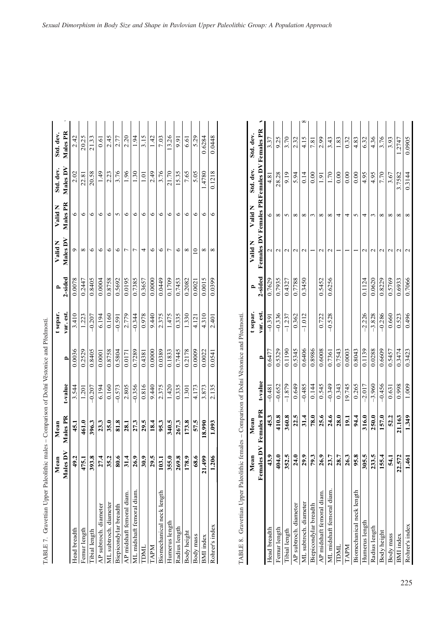| TABLE 7. Gravettian Upper Paleolithic ma                                                        |                     | ales – Comparison of Dolní Věstonice and Předmostí. |          |              |           |         |                          |              |                                             |           |  |
|-------------------------------------------------------------------------------------------------|---------------------|-----------------------------------------------------|----------|--------------|-----------|---------|--------------------------|--------------|---------------------------------------------|-----------|--|
|                                                                                                 | Mean                | Mean                                                |          |              | t separ.  |         | Valid N                  | Valid N      | Std. dev.                                   | Std. dev. |  |
|                                                                                                 | Males D'            | Males PR                                            | t-value  | $\mathbf{r}$ | var. est. | 2-sided | Males DV                 | Males PR     | Males DV                                    | Males PR  |  |
| Head breadth                                                                                    | 49.2                | 45.1                                                | 3.544    | 0.0036       | 3.410     | 0.0078  | Ó                        | 6            | 2.02                                        | 2.42      |  |
| Femur length                                                                                    | 475.1               | 461.0                                               | 1.201    | 0.2529       | 1.223     | 0.2447  | $\infty$                 | $\circ$      | 22.81                                       | 20.25     |  |
| Tibial length                                                                                   | 393.8               | 396.3                                               | $-0.207$ | 0.8405       | $-0.207$  | 0.8405  | $\circ$                  | $\circ$      | 20.58                                       | 21.33     |  |
| AP subtroch. diameter                                                                           | 27.4                | 23.3                                                | 6.194    | 0.0001       | 6.194     | 0.0004  | $\circ$                  | $\circ$      | 1.49                                        | 0.61      |  |
| ML subtroch. diameter                                                                           | 35.2                | 35.0                                                | 0.160    | 0.8758       | 0.160     | 0.8758  | $\circ$                  | 6            | 2.23                                        | 2.45      |  |
| Biepicondylar breadth                                                                           | 80.6                | 81.8                                                | $-0.573$ | 0.5804       | $-0.591$  | 0.5692  | $\circ$                  | S            | 3.76                                        | 2.77      |  |
| AP midshaft femoral diam.                                                                       | 31.4                | 28.1                                                | 2.805    | 0.0171       | 2.779     | 0.0195  | $\overline{ }$           | $\circ$      | 1.96                                        | 2.20      |  |
| ML midshaft femoral diam                                                                        | 26.9                | 27.3                                                | $-0.356$ | 0.7289       | $-0.344$  | 0.7385  | $\overline{ }$           | $\circ$      | 1.30                                        | 1.94      |  |
| <b>TDML</b>                                                                                     | 30.9                | 29.5                                                | 0.816    | 0.4381       | 0.978     | 0.3657  | 4                        | 6            | $\overline{0}$ .                            | 3.15      |  |
| TAPM                                                                                            | 29.5                | 18.4                                                | 9.440    | 0.0000       | 9.440     | 0.0000  | $\circ$                  | $\circ$      | 2.49                                        | 1.42      |  |
| Biomechanical neck length                                                                       | 103.1               | 95.3                                                | 2.375    | 0.0389       | 2.375     | 0.0449  | $\circ$                  | $\circ$      | 3.76                                        | 7.03      |  |
| Humerus length                                                                                  | 355.0               | 340.5                                               | 1.420    | 0.1833       | 1.475     | 0.1709  | $\overline{ }$           | $\circ$      | 21.70                                       | 13.26     |  |
| Radius length                                                                                   | 269.8               | 267.3                                               | 0.335    | 0.7445       | 0.335     | 0.7453  | 6                        | 6            | 15.35                                       | 9.91      |  |
| Body height                                                                                     | 178.9               | 173.8                                               | 1.301    | 0.2178       | 1.330     | 0.2082  | $\infty$                 | 9            | 7.65                                        | 6.61      |  |
| Body mass                                                                                       | 68.6                | 57.5                                                | 4.173    | 0.0009       | 4.121     | 0.0021  | $\overline{a}$           | $\circ$      | 5.05                                        | 5.29      |  |
| <b>BMI</b> index                                                                                | 21.499              | 18.990                                              | 3.873    | 0.0022       | 4.310     | 0.0015  | ${}^{\circ}$             | $\circ$      | 1.4780                                      | 0.6284    |  |
| Rohrer's index                                                                                  | 1.206               | 1.093                                               | 2.135    | 0.0541       | 2.401     | 0.0399  | ${}^{\circ}$             | $\circ$      | 0.1218                                      | 0.0448    |  |
| Gravettian Upper Paleolithic females – Comparison of Dolní Věstonice and Předmostí.<br>TABLE 8. |                     |                                                     |          |              |           |         |                          |              |                                             |           |  |
|                                                                                                 | Mean                | Mean                                                |          |              | t separ.  | P,      | Valid N                  | Valid N      | Std. dev.                                   | Std. dev. |  |
|                                                                                                 | $\geq$<br>Females 1 | <b>Females PR</b>                                   | t-value  | $\mathbf{r}$ | var. est. | 2-sided |                          |              | Females DV Females PR Females DV Females PR |           |  |
| Head breadth                                                                                    | 43.9                | 45.3                                                | $-0.481$ | 0.6477       | $-0.391$  | 0.7629  | $\overline{\mathcal{L}}$ | 6            | 4.81                                        | 3.37      |  |
| Femur length                                                                                    | 404.0               | 410.8                                               | $-0.652$ | 0.5329       | $-0.336$  | 0.7935  | $\sim$                   | ${}^{\circ}$ | 28.28                                       | 9.25      |  |
| Tibial length                                                                                   | 352.5               | 360.8                                               | $-1.879$ | 0.1190       | $-1.237$  | 0.4327  | $\sim$                   | 5            | 9.19                                        | 3.70      |  |
| AP subtroch. diameter                                                                           | 24.0                | 22.5                                                | 0.649    | 0.5345       | 0.362     | 0.7788  | $\mathbf{C}$             | ${}^{\circ}$ | 5.94                                        | 2.32      |  |
| ML subtroch. diameter                                                                           | 29.9                | 31.4                                                | $-0.485$ | 0.6406       | $-1.012$  | 0.3450  | $\mathcal{L}$            | ${}^{\circ}$ | 0.14                                        | 4.15      |  |
| Biepicondylar breadth                                                                           | 79.3                | 78.0                                                | 0.144    | 0.8986       |           |         |                          | 3            | 0.00                                        | 7.81      |  |
| AP midshaft femoral diam.                                                                       | 26.9                | 25.6                                                | 0.545    | 0.6008       | 0.722     | 0.5452  | $\mathbf{C}$             | ${}^{\circ}$ | $\frac{1}{9}$                               | 2.99      |  |
| ML midshaft femoral diam                                                                        | 23.7                | 24.6                                                | $-0.349$ | 0.7361       | $-0.528$  | 0.6256  | $\mathbf 2$              | $\infty$     | 1.70                                        | 3.43      |  |

| i<br>l<br>l                    |
|--------------------------------|
|                                |
|                                |
|                                |
| $\overline{1}$                 |
| ׇ֚֕֡<br>l                      |
| <b>BARAGE CLASS CLASS</b><br>l |
| ι<br>ı<br>I                    |
| J<br>¢                         |
| l                              |
| í<br>l<br>I<br>i<br>Ì          |
| l<br>֚                         |
| ーー・ド                           |

|                           | Ξ<br>Mea                  | Mean   |          |              | t separ.  |         | Valid N                                     | Valid N      | Std. dev.     | Std. dev. |
|---------------------------|---------------------------|--------|----------|--------------|-----------|---------|---------------------------------------------|--------------|---------------|-----------|
|                           | Females DV Females PR     |        | t-value  | $\mathbf{r}$ | var. est. | 2-sided | Females DV Females PR Females DV Females PR |              |               |           |
| Head breadth              | ್<br>Ҿ                    | 45.3   | $-0.481$ | 0.6477       | $-0.391$  | 0.7629  | $\mathcal{C}$                               | ७            | 4.81          | 3.37      |
| Femur length              | ۹.<br>404                 | 410.8  | $-0.652$ | 0.5329       | $-0.336$  | 0.7935  |                                             | ∞            | 28.28         | 9.25      |
| Tibial length             | n.<br>352                 | 360.8  | $-1.879$ | 0.1190       | $-1.237$  | 0.4327  |                                             |              | 9.19          | 3.70      |
| AP subtroch. diameter     | ę<br>$\mathbf{z}_4$       | 22.5   | 0.649    | 0.5345       | 0.362     | 0.7788  |                                             | $^{\circ}$   | 5.94          | 2.32      |
| ML subtroch. diameter     | 0,<br>$\mathbf{5}$        | 31.4   | $-0.485$ | 0.6406       | $-1.012$  | 0.3450  | $\mathcal{L}$                               | $\infty$     | 0.14          | 4.15      |
| Biepicondylar breadth     | ω.<br>2                   | 78.0   | 0.144    | 0.8986       |           |         |                                             |              | 0.00          | 7.81      |
| AP midshaft femoral diam. | ٩<br>$\frac{26}{5}$       | 25.6   | 0.545    | 0.6008       | 0.722     | 0.5452  |                                             | $^{\circ}$   | $\frac{5}{1}$ | 2.99      |
| ML midshaft femoral diam  | 23.7                      | 24.6   | $-0.349$ | 0.7361       | $-0.528$  | 0.6256  |                                             | ∞            | 1.70          | 3.43      |
| DML                       | 28.7                      | 28.0   | 0.343    | 0.7543       |           |         |                                             | 4            | 0.00          | 1.83      |
| <b>NALD</b>               | 26.3                      | 19.1   | 19.745   | 0.0003       |           |         |                                             | 4            | 0.00          | 0.32      |
| Biomechanical neck length | $\ddot{\mathbf{e}}$<br>56 | 94.4   | 0.265    | 0.8043       |           |         |                                             | 5            | 0.00          | 4.83      |
| Humerus length            | n.<br>305                 | 316.0  | $-2.017$ | 0.1139       | $-2.226$  | 0.1124  |                                             | 4            | 4.95          | 6.32      |
| Radius length             | r.<br>233                 | 250.0  | $-3.960$ | 0.0288       | $-3.828$  | 0.0620  |                                             |              | 4.95          | 4.36      |
| Body height               | 155.4                     | 157.0  | $-0.456$ | 0.6609       | $-0.286$  | 0.8229  |                                             | $\infty$     | 7.70          | 3.76      |
| Body mass                 | 54.1                      | 52.2   | 0.631    | 0.5457       | 0.660     | 0.5769  |                                             | $\infty$     | 3.67          | 3.93      |
| BMI index                 | 22.572                    | 21.163 | 0.998    | 0.3474       | 0.523     | 0.6933  |                                             | ${}^{\circ}$ | 3.7582        | 1.2747    |
| Rohrer's index            | 5<br><u>र्नु</u>          | 1.349  | 1.009    | 0.3423       | 0.496     | 0.7066  |                                             | ∞            | 0.3144        | 0.0905    |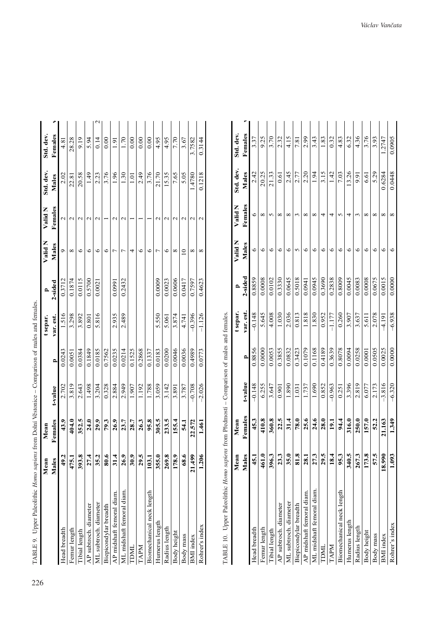| TABLE 9. Upper Paleolithic Homo supiens from Dolní Věstonice – Comparison of males and females. |              |         |          |        |           |         |         |               |           |               |  |
|-------------------------------------------------------------------------------------------------|--------------|---------|----------|--------|-----------|---------|---------|---------------|-----------|---------------|--|
|                                                                                                 | Mean         | Mean    |          |        | t separ.  | ≏       | Valid N | Valid N       | Std. dev. | Std. dev.     |  |
|                                                                                                 | <b>Males</b> | Females | t-value  | P      | var. est. | 2-sided | Males   | Females       | Males     | Females       |  |
| Head breadth                                                                                    | 49.2         | 43.9    | 2.702    | 0.0243 | 1.516     | 0.3712  | ᡋ       | Z             | 2.02      | 4.81          |  |
| Femur length                                                                                    | 475.1        | 404.0   | 3.819    | 0.0051 | 3.298     | 0.1874  | ∞       | $\mathcal{L}$ | 22.81     | 28.28         |  |
| Tibial length                                                                                   | 393.8        | 352.5   | 2.643    | 0.0384 | 3.892     | 0.0115  | ∘       |               | 20.58     | 9.19          |  |
| AP subtroch. diameter                                                                           | 27.4         | 24.0    | 1.498    | 0.1849 | 0.801     | 0.5700  | ७       | $\mathbf 2$   | 1.49      | 5.94          |  |
| ML subtroch. diameter                                                                           | 35.2         | 29.9    | 3.204    | 0.0185 | 5.816     | 0.0021  | 6       | $\mathbf 2$   | 2.23      | 0.14          |  |
| Biepicondylar breadth                                                                           | 80.6         | 79.3    | 0.328    | 0.7562 |           |         | ७       |               | 3.76      | 0.00          |  |
| AP midshaft femoral diam.                                                                       | 31.4         | 26.9    | 2.884    | 0.0235 | 2.935     | 0.0991  |         | $\mathcal{L}$ | 1.96      | $\frac{5}{1}$ |  |
| ML midshaft femoral diam.                                                                       | 26.9         | 23.7    | 2.949    | 0.0214 | 2.489     | 0.2432  |         | $\mathcal{L}$ | 1.30      | 1.70          |  |
| <b>LINU</b>                                                                                     | 30.9         | 28.7    | 1.907    | 0.1525 |           |         | 4       |               | ្មី       | 0.00          |  |
| LAPM                                                                                            | 29.5         | 26.3    | 1.192    | 0.2868 |           |         | 6       |               | 2.49      | 0.00          |  |
| Biomechanical neck length                                                                       | 103.1        | 95.8    | 1.788    | 0.1337 |           |         | 6       |               | 3.76      | 0.00          |  |
| Humerus length                                                                                  | 355.0        | 305.5   | 3.059    | 0.0183 | 5.550     | 0.0009  | r       | $\mathbf 2$   | 21.70     | 4.95          |  |
| Radius length                                                                                   | 269.8        | 233.5   | 3.142    | 0.0200 | 5.061     | 0.0023  | ७       | $\mathcal{L}$ | 15.35     | 4.95          |  |
| Body height                                                                                     | 178.9        | 155.4   | 3.891    | 0.0046 | 3.874     | 0.0606  | ∞       |               | 7.65      | 7.70          |  |
| Body mass                                                                                       | 68.6         | 54.1    | 3.787    | 0.0036 | 4.741     | 0.0417  | $\circ$ |               | 5.05      | 3.67          |  |
| <b>BMI</b> index                                                                                | 21.499       | 22.572  | $-0.708$ | 0.4989 | $-0.396$  | 0.7597  | ∞       | N             | 1.4780    | 3.7582        |  |
| Rohrer's index                                                                                  | 1.206        | 1.461   | $-2.026$ | 0.0773 | $-1.126$  | 0.4623  | ∝       |               | 0.1218    | 0.3144        |  |

| c<br>com<br>l                   |  |
|---------------------------------|--|
| l<br>l                          |  |
| ١                               |  |
|                                 |  |
| ļ<br>֕                          |  |
|                                 |  |
|                                 |  |
| $\frac{1}{2}$<br>ì              |  |
|                                 |  |
| l<br>l<br>l                     |  |
|                                 |  |
| - ^ 「 ! ! !<br>١<br>ׇ֢֖֖֚֚֚֚֚֬֓ |  |
| I                               |  |

TABLE 10. Upper Paleolithic Homo sapiens from Předmostí - Comparison of males and females. TABLE 10. Upper Paleolithic *Homo sapiens* from Předmostí – Comparison of males and females.

|                           | Mean         | Mean    |          |              | t separ.  |         | Valid N | Valid N      | Std. dev. | Std. dev. |  |
|---------------------------|--------------|---------|----------|--------------|-----------|---------|---------|--------------|-----------|-----------|--|
|                           | <b>Males</b> | Females | t-value  | $\mathbf{r}$ | var. est. | 2-sided | Males   | Females      | Males     | Females   |  |
| Head breadth              | 45.1         | 45.3    | $-0.148$ | 0.8856       | $-0.148$  | 0.8859  | $\circ$ | $\circ$      | 2.42      | 3.37      |  |
| Femur length              | 461.0        | 410.8   | 6.255    | 0.0000       | 5.645     | 0.0008  | ७       | ${}^{\circ}$ | 20.25     | 9.25      |  |
| Tibial length             | 396.3        | 360.8   | 3.647    | 0.0053       | 4.008     | 0.0102  | ७       | 5            | 21.33     | 3.70      |  |
| AP subtroch. diameter     | 23.3         | 22.5    | 0.901    | 0.3855       | 1.030     | 0.3330  | ७       | ∞            | 0.61      | 2.32      |  |
| ML subtroch. diameter     | 35.0         | 31.4    | 1.890    | 0.0832       | 2.036     | 0.0645  | ७       | ∞            | 2.45      | 4.15      |  |
| Biepicondylar breadth     | 81.8         | 78.0    | 1.031    | 0.3423       | 0.813     | 0.5018  |         | $\sim$       | 2.77      | 7.81      |  |
| AP midshaft femoral diam. | 28.1         | 25.6    | 1.737    | 0.1079       | 1.818     | 0.0941  | ∘       | ∞            | 2.20      | 2.99      |  |
| ML midshaft femoral diam. | 27.3         | 24.6    | 1.690    | 0.1168       | 1.830     | 0.0945  | ∘       | $^{\circ}$   | 1.94      | 3.43      |  |
| <b>HNL</b>                | 29.5         | 28.0    | 0.852    | 0.4189       | 0.952     | 0.3690  | ∘       | 4            | 3.15      | 1.83      |  |
| LAPM                      | 18.4         | 19.1    | $-0.963$ | 0.3639       | $-1.177$  | 0.2838  | ७       | 4            | 1.42      | 0.32      |  |
| Biomechanical neck length | 95.3         | 94.4    | 0.251    | 0.8078       | 0.260     | 0.8009  | ৩       | 5            | 7.03      | 4.83      |  |
| Humerus length            | 340.5        | 316.0   | 3.396    | 0.0094       | 3.907     | 0.0045  | ৩       | 4            | 13.26     | 6.32      |  |
| Radius length             | 267.3        | 250.0   | 2.819    | 0.0258       | 3.637     | 0.0083  | ७       | 3            | 9.91      | 4.36      |  |
| Body height               | 173.8        | 157.0   | 6.077    | 0.0001       | 5.611     | 0.0008  | ∘       | ∞            | 6.61      | 3.76      |  |
| Body mass                 | 57.5         | 52.2    | 2.173    | 0.0505       | 2.078     | 0.0675  | €       | ${}^{\circ}$ | 5.29      | 3.93      |  |
| <b>BMI</b> index          | 18.990       | 21.163  | $-3.816$ | 0.0025       | $-4.191$  | 0.0015  | ७       | ∞            | 0.6284    | 1.2747    |  |
| Rohrer's index            | 1.093        | 1.349   | $-6.320$ | 0.0000       | $-6.938$  | 0.0000  | ७       | ∞            | 0.0448    | 0.0905    |  |
|                           |              |         |          |              |           |         |         |              |           |           |  |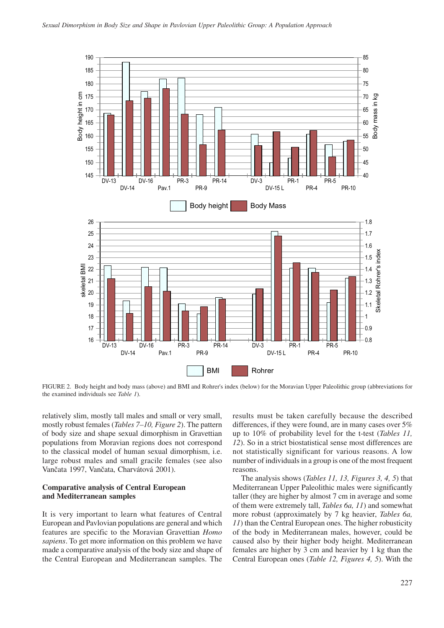

FIGURE 2. Body height and body mass (above) and BMI and Rohrer's index (below) for the Moravian Upper Paleolithic group (abbreviations for the examined individuals see *Table 1*).

relatively slim, mostly tall males and small or very small, mostly robust females (*Tables 7–10, Figure 2*). The pattern of body size and shape sexual dimorphism in Gravettian populations from Moravian regions does not correspond to the classical model of human sexual dimorphism, i.e. large robust males and small gracile females (see also Vančata 1997, Vančata, Charvátová 2001).

## **Comparative analysis of Central European and Mediterranean samples**

It is very important to learn what features of Central European and Pavlovian populations are general and which features are specific to the Moravian Gravettian *Homo sapiens*. To get more information on this problem we have made a comparative analysis of the body size and shape of the Central European and Mediterranean samples. The

results must be taken carefully because the described differences, if they were found, are in many cases over 5% up to 10% of probability level for the t-test (*Tables 11, 12*). So in a strict biostatistical sense most differences are not statistically significant for various reasons. A low number of individuals in a group is one of the most frequent reasons.

The analysis shows (*Tables 11, 13, Figures 3, 4, 5*) that Mediterranean Upper Paleolithic males were significantly taller (they are higher by almost 7 cm in average and some of them were extremely tall, *Tables 6a, 11*) and somewhat more robust (approximately by 7 kg heavier, *Tables 6a, 11*) than the Central European ones. The higher robusticity of the body in Mediterranean males, however, could be caused also by their higher body height. Mediterranean females are higher by 3 cm and heavier by 1 kg than the Central European ones (*Table 12, Figures 4, 5*). With the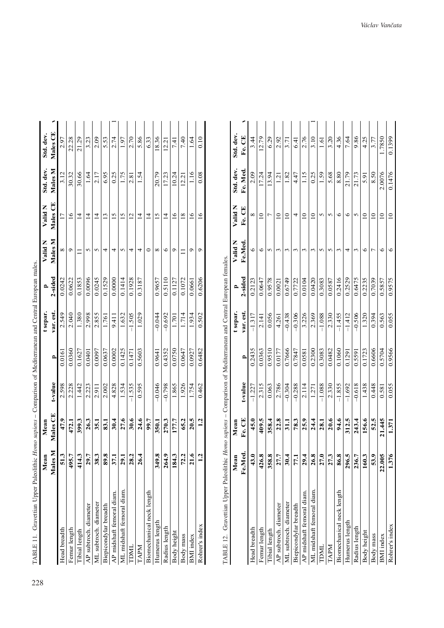| TABLE 11. Gravettian Upper Paleolithic |               | Homo sapiens – Comparison of Mediterranean and Central European males. |          |              |           |         |         |                 |                |           |  |
|----------------------------------------|---------------|------------------------------------------------------------------------|----------|--------------|-----------|---------|---------|-----------------|----------------|-----------|--|
|                                        | Mean          | Mean                                                                   |          |              | t separ.  | P       | Valid N | Valid N         | Std. dev.      | Std. dev. |  |
|                                        | Males N       | Males <sub>CE</sub>                                                    | t-value  | $\mathbf{r}$ | var. est. | 2-sided | Males M | Males CE        | <b>Males</b> M | Males CE  |  |
| Head breadth                           | 513           | 47.9                                                                   | 2.598    | 0.0161       | 2.549     | 0.0242  | ∞       | $\overline{17}$ | 3.12           | 2.97      |  |
| Femur length                           | 495.7         | 472.1                                                                  | 2.228    | 0.0360       | 2.040     | 0.0622  | σ       | $\frac{6}{1}$   | 30.32          | 22.28     |  |
| Tibial length                          | 414.3         | 399.3                                                                  | 1.442    | 0.1627       | 1.380     | 0.1853  |         | $\overline{4}$  | 30.66          | 21.29     |  |
| AP subtroch. diameter                  | 29.7          | 26.3                                                                   | 2.223    | 0.0401       | 2.998     | 0.0096  | 5       | $\vec{4}$       | 1.64           | 3.23      |  |
| ML subtroch. diameter                  | 38.3          | 35.1                                                                   | 2.911    | 0.0097       | 2.855     | 0.0245  |         | $\overline{4}$  | 2.17           | 2.09      |  |
| Biepicondylar breadth                  | 89.8          | 83.1                                                                   | 2.002    | 0.0637       | 1.761     | 0.1529  | 4       | $\overline{13}$ | 6.95           | 5.53      |  |
| AP midshaft femoral diam.              | 37.1          | 30.4                                                                   | 4.828    | 0.0002       | 9.411     | 0.0000  | 4       | $\frac{5}{2}$   | 0.25           | 2.74      |  |
| ML midshaft femoral diam               | 29.1          | 27.6                                                                   | 1.534    | 0.1425       | 1.632     | 0.1414  |         | $\overline{15}$ | 1.75           | 1.97      |  |
| TDML                                   | 28.2          | 30.6                                                                   | $-1.535$ | 0.1471       | $-1.505$  | 0.1928  | 4       | $\overline{2}$  | 2.81           | 2.70      |  |
| <b>NAPN</b>                            | 26.4          | 24.6                                                                   | 0.595    | 0.5603       | 1.029     | 0.3187  | 4       | $\overline{4}$  | 1.54           | 5.86      |  |
| Biomechanical neck length              |               | 99.7                                                                   |          |              |           |         |         | $\overline{4}$  |                | 6.33      |  |
| Humerus length                         | 349.8         | 350.1                                                                  | $-0.046$ | 0.9641       | $-0.044$  | 0.9657  | ∞       | $\overline{15}$ | 20.79          | 18.36     |  |
| Radius length                          | 264.9         | 270.3                                                                  | $-0.798$ | 0.4352       | $-0.692$  | 0.5110  | ∘       | $\overline{4}$  | 17.23          | 12.21     |  |
| Body height                            | 184.3         | 177.7                                                                  | 1.865    | 0.0750       | 1.701     | 0.1127  | σ       | $\frac{6}{1}$   | 10.24          | 7.41      |  |
| Body mass                              | 72.2          | 65.2                                                                   | 1.926    | 0.0647       | 1.714     | 0.1072  |         | $\frac{8}{18}$  | 12.21          | 7.40      |  |
| <b>BMI</b> index                       | $\frac{1}{6}$ | 20.5                                                                   | 1.754    | 0.0927       | 1.934     | 0.0661  | σ       | $\overline{2}$  | 1.16           | 1.64      |  |
| Rohrer's index                         | $\mathbf{r}$  | 1.2                                                                    | 0.462    | 0.6482       | 0.502     | 0.6206  | ᢦ       | $\frac{6}{1}$   | 0.08           | 0.10      |  |
|                                        |               |                                                                        |          |              |           |         |         |                 |                |           |  |

| ļ           |  |
|-------------|--|
| l<br>í      |  |
|             |  |
|             |  |
|             |  |
| l           |  |
|             |  |
| í<br>l<br>l |  |
| ₹           |  |
|             |  |
| I           |  |
| l<br>l      |  |
| l           |  |
| l<br>ׅ֘֒    |  |

TABLE 12. Gravettian Upper Paleolithic Homo sapiens - Comparison of Mediterranean and Central European females. TABLE 12. Gravettian Upper Paleolithic *Homo sapiens* – Comparison of Mediterranean and Central European females.

|                           | Mean   | Mean   |          |              | t separ.  |         | $V$ alid $N$ | $V$ alid $N$    | Std. dev.       | Std. dev.     |  |
|---------------------------|--------|--------|----------|--------------|-----------|---------|--------------|-----------------|-----------------|---------------|--|
|                           | Fe.Med | Fe. CE | t-value  | $\mathbf{r}$ | var. est. | 2-sided | Fe.Med.      | Fe. CE          | Fe. Med.        | Fe. CE        |  |
| Head breadth              | 43.0   | 45.0   | $-1.227$ | 0.2435       | $-1.317$  | 0.2123  | 6            | $\infty$        | 2.09            | 3.44          |  |
| Femur length              | 426.8  | 409.5  | 2.315    | 0.0363       | 2.141     | 0.0647  | ৩            | $\overline{a}$  | 17.24           | 12.79         |  |
| Tibial length             | 358.8  | 358.4  | 0.063    | 0.9510       | 0.056     | 0.9578  | 5            |                 | 13.94           | 6.29          |  |
| AP subtroch. diameter     | 27.7   | 22.8   | 2.786    | 0.0177       | 4.261     | 0.0021  | S            | $\overline{a}$  | $\overline{13}$ | 2.92          |  |
| ML subtroch. diameter     | 30.4   | 31.1   | $-0.304$ | 0.7666       | $-0.438$  | 0.6749  |              | $\overline{10}$ | 1.82            | 3.71          |  |
| Biepicondylar breadth     | 77.1   | 78.3   | $-0.288$ | 0.7847       | $-0.306$  | 0.7722  |              | 4               | 4.47            | -<br>41       |  |
| AP midshaft femoral diam. | 29.4   | 25.9   | 2.114    | 0.0581       | 3.226     | 0.0104  | ς            | $\overline{a}$  | 1.15            | 2.76          |  |
| ML midshaft femoral diam. | 26.8   | 24.4   | 1.271    | 0.2300       | 2.369     | 0.0420  | m            | $\overline{a}$  | 0.25            | 3.10          |  |
| DML                       | 27.0   | 28.1   | $-1.088$ | 0.3083       | $-1.088$  | 0.3083  |              | 5               | 1.59            | $\frac{1}{2}$ |  |
| <b>NADN</b>               | 27.3   | 20.6   | 2.330    | 0.0482       | 2.330     | 0.0587  | n            | S               | 5.68            | 3.20          |  |
| Biomechanical neck length | 86.8   | 94.6   | $-1.855$ | 0.1060       | $-1.455$  | 0.2416  | $\sim$       | ৩               | 8.80            | 4.36          |  |
| Humerus length            | 296.5  | 312.5  | $-1.692$ | 0.1291       | $-1.412$  | 0.2529  | 4            | ৩               | 21.79           | 7.64          |  |
| Radius length             | 236.7  | 243.4  | $-0.618$ | 0.5591       | $-0.506$  | 0.6475  | 3            | 5               | 21.73           | 9.86          |  |
| Body height               | 160.3  | 156.6  | 1.438    | 0.1723       | 1.320     | 0.2235  | ७            | $\overline{a}$  | 5.91            | 4.25          |  |
| Body mass                 | 53.9   | 52.5   | 0.448    | 0.6606       | 0.394     | 0.7039  |              | $\overline{a}$  | 8.50            | 3.77          |  |
| <b>BMI</b> index          | 22.005 | 21.445 | 0.581    | 0.5704       | 0.563     | 0.5857  | ७            | $\overline{a}$  | 2.0076          | 1.7850        |  |
| Rohrer's index            | 1.376  | 1.371  | 0.055    | 0.9566       | 0.055     | 0.9575  | ७            | $\overline{a}$  | 0.1476          | 0.1399        |  |
|                           |        |        |          |              |           |         |              |                 |                 |               |  |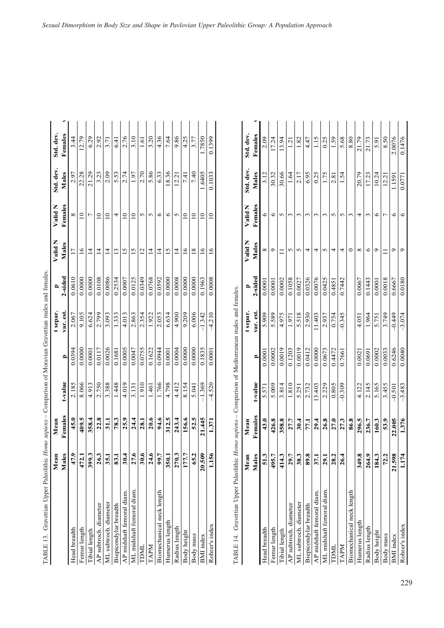| TABLE 13. Gravettian Upper Paleolithic <i>Homo supiens</i> – Comparison of Moravian Gravettian males and females |             |         |          |                                                |           |         |                 |                          |           |           |  |
|------------------------------------------------------------------------------------------------------------------|-------------|---------|----------|------------------------------------------------|-----------|---------|-----------------|--------------------------|-----------|-----------|--|
|                                                                                                                  | Mean        | Mean    |          |                                                | t separ.  | ≏       | Valid N         | Valid N                  | Std. dev. | Std. dev. |  |
|                                                                                                                  | Males       | Females | t-value  | $\mathbf{r}$                                   | var. est. | 2-sided | Males           | Females                  | Males     | Females   |  |
| Head breadth                                                                                                     | 47.9        | 45.0    | 2.185    | 0.0394                                         | 2.067     | 0.0610  | $\overline{17}$ | ${}^{\circ}$             | 2.97      | 3.44      |  |
| Femur length                                                                                                     | 472.1       | 409.5   | 8.066    | 0.0000                                         | 9.105     | 0.0000  | $\frac{6}{1}$   | $\overline{\phantom{0}}$ | 22.28     | 12.79     |  |
| Tibial length                                                                                                    | 399.3       | 358.4   | 4.913    | 0.0001                                         | 6.624     | 0.0000  | $\overline{4}$  | $\overline{ }$           | 21.29     | 6.29      |  |
| AP subtroch. diameter                                                                                            | <b>26.3</b> | 22.8    | 2.750    | 0.0117                                         | 2.799     | 0.0108  | $\overline{4}$  | $\overline{10}$          | 3.23      | 2.92      |  |
| ML subtroch, diameter                                                                                            | 35.1        | 31.1    | 3.388    | 0.0026                                         | 3.093     | 0.0086  | $\overline{4}$  | $\overline{10}$          | 2.09      | 3.71      |  |
| Biepicondylar breadth                                                                                            | 83.1        | 78.3    | 1.448    | 0.1681                                         | 1.333     | 0.2534  | $\frac{3}{2}$   | 4                        | 5.53      | 6.41      |  |
| AP midshaft femoral diam.                                                                                        | 30.4        | 25.9    | 4.019    | 0.0005                                         | 4.013     | 0.0007  | $\overline{15}$ | $\overline{10}$          | 2.74      | 2.76      |  |
| ML midshaft femoral diam                                                                                         | 27.6        | 24.4    | 3.131    | 0.0047                                         | 2.863     | 0.0125  | $\overline{5}$  | $\overline{a}$           | 1.97      | 3.10      |  |
| TDML                                                                                                             | 30.6        | 28.1    | 1.910    | 0.0755                                         | 2.354     | 0.0349  | $\overline{c}$  | $\sigma$                 | 2.70      | 1.61      |  |
| TAPM                                                                                                             | 24.6        | 20.6    | 1.461    | 0.1622                                         | 1.922     | 0.0768  | $\overline{4}$  | $\sim$                   | 5.86      | 3.20      |  |
| Biomechanical neck length                                                                                        | 99.7        | 94.6    | 1.766    | 0.0944                                         | 2.053     | 0.0592  | $\overline{4}$  | $\circ$                  | 6.33      | 4.36      |  |
| Humerus length                                                                                                   | 350.1       | 312.5   | 4.798    | 0.0001                                         | 6.634     | 0.0000  | $\overline{15}$ | 6                        | 18.36     | 7.64      |  |
| Radius length                                                                                                    | 270.3       | 243.4   | 4.412    | 0.0004                                         | 4.900     | 0.0008  | $\overline{4}$  | S                        | 12.21     | 9.86      |  |
| Body height                                                                                                      | 177.7       | 156.6   | 8.154    | 0.0000                                         | 9.209     | 0.0000  | $\overline{16}$ | $\overline{10}$          | 7.41      | 4.25      |  |
| Body mass                                                                                                        | 65.2        | 52.5    | 5.041    | 0.0000                                         | 6.006     | 0.0000  | $\overline{18}$ | $\overline{10}$          | 7.40      | 3.77      |  |
| <b>BMI</b> index                                                                                                 | 20.509      | 21.445  | $-1.369$ | 0.1835                                         | $-1.342$  | 0.1963  | $\overline{16}$ | $\overline{10}$          | 1.6405    | .7850     |  |
| Rohrer's index                                                                                                   | 1.156       | 1.371   | $-4.520$ | 0.0001                                         | $-4.210$  | 0.0008  | $\tilde{=}$     | $\overline{10}$          | 0.1033    | 0.1399    |  |
| Gravettian Upper Paleolithic Homo sapiens -<br>TABLE 14.                                                         |             |         |          | Comparison of Mediterranean males and females. |           |         |                 |                          |           |           |  |
|                                                                                                                  | Mean        | Mean    |          |                                                | t separ.  | ≏       | Valid N         | Valid N                  | Std. dev. | Std. dev. |  |
|                                                                                                                  | Males       | Females | t-value  | P                                              | var. est. | 2-sided | Males           | Females                  | Males     | Females   |  |
| Head breadth                                                                                                     | 51.3        | 43.0    | 5.571    | 0.0001                                         | 5.909     | 0.000   | ${}^{\circ}$    | 6                        | 3.12      | 2.09      |  |
| Femur length                                                                                                     | 495.7       | 426.8   | 5.009    | 0.0002                                         | 5.589     | 0.0001  | $\circ$         | $\circ$                  | 30.32     | 17.24     |  |
| Tibial length                                                                                                    | 414.3       | 358.8   | 3.814    | 0.0019                                         | 4.975     | 0.0002  | Ξ               | $\sim$                   | 30.66     | 13.94     |  |
| AP subtroch. diameter                                                                                            | 29.7        | 27.7    | 1.810    | 0.1203                                         | 1.971     | 0.1058  | 5               | 3                        | 1.64      | 1.21      |  |
| ML subtroch. diameter                                                                                            | 38.3        | 30.4    | 5.251    | 0.0019                                         | 5.518     | 0.0027  | S               | $\sim$                   | 2.17      | 1.82      |  |
| Biepicondylar breadth                                                                                            | 89.8        | 171     | 2.732    | 0.0412                                         | 2.930     | 0.0326  | 4               | $\sim$                   | 6.95      | 4.47      |  |
| AP midshaft femoral diam.                                                                                        | 37.1        | 29.4    | 13.403   | 0.0000                                         | 11.403    | 0.0076  | 4               | $\epsilon$               | 0.25      | 115       |  |
| ML midshaft femoral diam.                                                                                        | 29.1        | 26.8    | 2.229    | 0.0673                                         | 2.937     | 0.0425  | 5               | $\epsilon$               | 1.75      | 0.25      |  |
| TDML                                                                                                             | 28.2        | 27.0    | 0.805    | 0.4472                                         | 0.754     | 0.485   | 4               | $\sigma$                 | 2.81      | 1.59      |  |

| i<br>control                                                                     |
|----------------------------------------------------------------------------------|
| an ann an                                                                        |
|                                                                                  |
| ֖֖ׅׅ֧ׅ֖֧ׅ֧ׅ֧ׅ֧֚֚֚֚֚֚֚֚֚֚֚֚֚֚֚֚֚֚֚֚֚֚֚֚֚֚֚֚֚֚֚֚֡֝֝֬֝֝֝֬֝֬֝֬<br>l                  |
|                                                                                  |
|                                                                                  |
| ֖֖֧֧֧֧֧֧֧֧֧֧֪֧֪֪֪֪֚֚֚֚֚֚֚֚֚֚֚֚֚֚֚֚֚֚֚֚֚֚֚֚֚֚֚֚֚֡֝֝֓֝֓֝֓֬֝֓֝֬֝֬֝֓֝֬֝֬֝֬֝֬֝֬֝֬֝֬֝֬ |
| ć                                                                                |
| l                                                                                |
| l<br>j                                                                           |
| l                                                                                |
|                                                                                  |
| ֧֢ׅ֦֧ׅ֧֧ׅ֧֧֧֧֧ׅ֧ׅ֧֛֧֛֛֧֛֧֛֚֚֚֚֚֚֚֚֚֚֚֚֚֚֚֚֚֚֚֬֘֜֓֓֜֓֟֓֟֓֝֟֓֜֜֓֓֜֓֓               |
|                                                                                  |
|                                                                                  |
| ļ<br>$\ddot{\tilde{\zeta}}$<br>l                                                 |
| j<br>Ì                                                                           |
|                                                                                  |
|                                                                                  |
| j<br>l                                                                           |
| $\frac{1}{2}$                                                                    |
|                                                                                  |
| <br> <br> <br>그                                                                  |

|                           | Mean                   | Mean    |          |                | t separ.  |         | Valid N      | Valid N    | Std. dev. | Std. dev. |
|---------------------------|------------------------|---------|----------|----------------|-----------|---------|--------------|------------|-----------|-----------|
|                           | <b>Males</b>           | Females | t-value  | $\overline{a}$ | var. est. | 2-sided | Males        | Females    | Males     | Females   |
| Head breadth              | 1.3<br>n               | 43.0    | 5.571    | 0.000          | 5.909     | 0.0001  | ${}^{\circ}$ | $\circ$    | 3.12      | 2.09      |
| Femur length              | 495.7                  | 426.8   | 5.009    | 0.0002         | 5.589     | 0.0001  | ٥            | $\circ$    | 30.32     | 17.24     |
| Tibial length             | 414.3                  | 358.8   | 3.814    | 0.0019         | 4.975     | 0.0002  |              | $\sqrt{2}$ | 30.66     | 13.94     |
| AP subtroch. diameter     | 9.7                    | 27.7    | 1.810    | 0.1203         | 1.971     | 0.1058  | 5            |            | 1.64      | 1.21      |
| ML subtroch. diameter     | 8.3<br>بي              | 30.4    | 5.251    | 0.0019         | 5.518     | 0.0027  | 5            | 3          | 2.17      | 1.82      |
| Biepicondylar breadth     | 9.8<br>õõ              | 77.1    | 2.732    | 0.0412         | 2.930     | 0.0326  | 4            |            | 6.95      | 4.47      |
| AP midshaft femoral diam. | $\overline{7.1}$<br>مع | 29.4    | 13.403   | 0.0000         | 11.403    | 0.0076  | 4            | S          | 0.25      | 1.15      |
| ML midshaft femoral diam  | 5.1<br>Ñ               | 26.8    | 2.229    | 0.0673         | 2.937     | 0.0425  | 5            |            | 1.75      | 0.25      |
| TDML                      | 28.2                   | 27.0    | 0.805    | 0.4472         | 0.754     | 0.4851  | 4            | $\sqrt{2}$ | 2.81      | 1.59      |
| <b>NdVL</b>               | 6.4                    | 27.3    | $-0.309$ | 0.7661         | $-0.345$  | 0.7442  | 4            |            | 1.54      | 5.68      |
| Biomechanical neck length |                        | 86.8    |          |                |           |         | 0            | 3          |           | 8.80      |
| Humerus length            | 349.8                  | 296.5   | 4.122    | 0.0021         | 4.051     | 0.0067  | ${}^{\circ}$ | 4          | 20.79     | 21.79     |
| Radius length             | 264.9                  | 236.7   | 2.145    | 0.0691         | 1.964     | 0.1443  | ७            | $\sim$     | 17.23     | 21.73     |
| Body height               | 184.3                  | 160.3   | 5.165    | 0.0002         | 5.751     | 0.0001  | ం            | ७          | 10.24     | 5.91      |
| Body mass                 | 72.2                   | 53.9    | 3.455    | 0.0033         | 3.749     | 0.0018  |              |            | 12.21     | 8.50      |
| BMI index                 | 21.598                 | 22.005  | $-0.501$ | 0.6246         | $-0.449$  | 0.6667  | o            | ৩          | 1.1591    | 2.0076    |
| Rohrer's index            | $\overline{1}$         | 1.376   | $-3.483$ | 0.0040         | $-3.074$  | 0.0180  | ٥            | $\circ$    | 0.0771    | 0.1476    |
|                           |                        |         |          |                |           |         |              |            |           |           |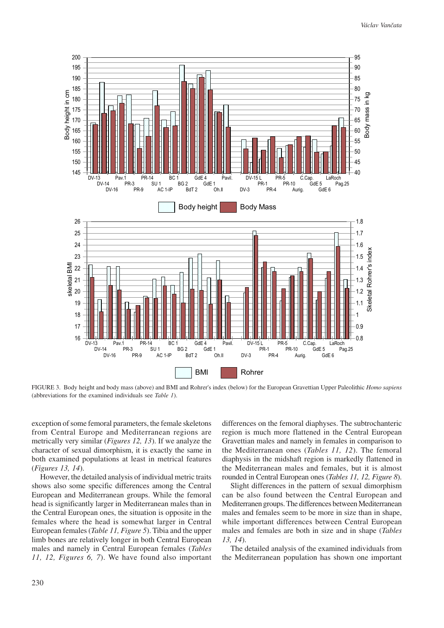

FIGURE 3. Body height and body mass (above) and BMI and Rohrer's index (below) for the European Gravettian Upper Paleolithic *Homo sapiens* (abbreviations for the examined individuals see *Table 1*).

exception of some femoral parameters, the female skeletons from Central Europe and Mediterranean regions are metrically very similar (*Figures 12, 13*). If we analyze the character of sexual dimorphism, it is exactly the same in both examined populations at least in metrical features (*Figures 13, 14*).

However, the detailed analysis of individual metric traits shows also some specific differences among the Central European and Mediterranean groups. While the femoral head is significantly larger in Mediterranean males than in the Central European ones, the situation is opposite in the females where the head is somewhat larger in Central European females (*Table 11, Figure 5*). Tibia and the upper limb bones are relatively longer in both Central European males and namely in Central European females (*Tables 11, 12, Figures 6, 7*). We have found also important differences on the femoral diaphyses. The subtrochanteric region is much more flattened in the Central European Gravettian males and namely in females in comparison to the Mediterranean ones (*Tables 11, 12*). The femoral diaphysis in the midshaft region is markedly flattened in the Mediterranean males and females, but it is almost rounded in Central European ones (*Tables 11, 12, Figure 8*).

Slight differences in the pattern of sexual dimorphism can be also found between the Central European and Mediterranen groups. The differences between Mediterranean males and females seem to be more in size than in shape, while important differences between Central European males and females are both in size and in shape (*Tables 13, 14*).

The detailed analysis of the examined individuals from the Mediterranean population has shown one important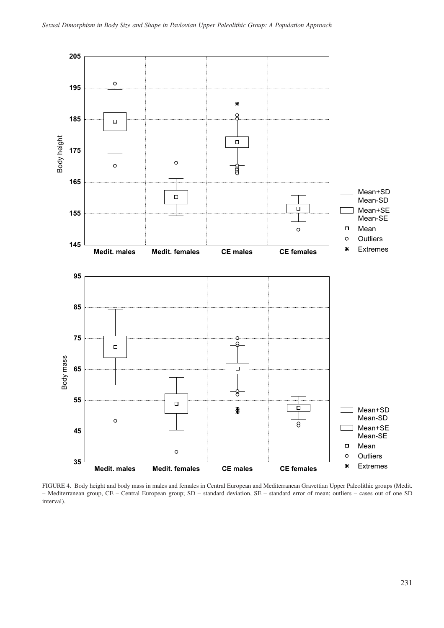

FIGURE 4. Body height and body mass in males and females in Central European and Mediterranean Gravettian Upper Paleolithic groups (Medit. – Mediterranean group, CE – Central European group; SD – standard deviation, SE – standard error of mean; outliers – cases out of one SD interval).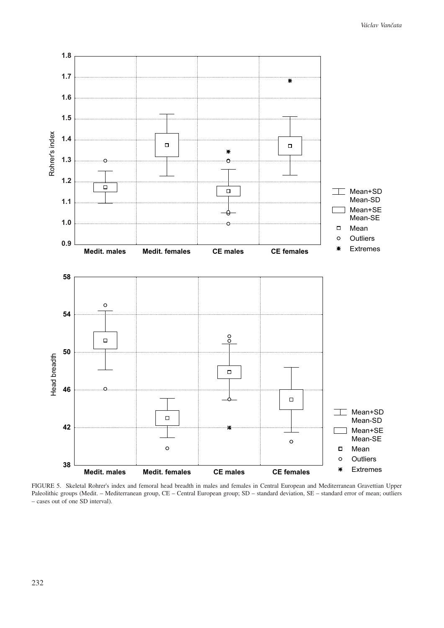

FIGURE 5. Skeletal Rohrer's index and femoral head breadth in males and females in Central European and Mediterranean Gravettian Upper Paleolithic groups (Medit. – Mediterranean group, CE – Central European group; SD – standard deviation, SE – standard error of mean; outliers – cases out of one SD interval).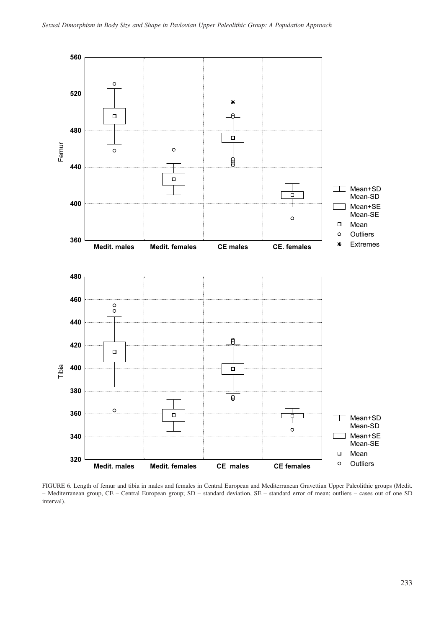

FIGURE 6. Length of femur and tibia in males and females in Central European and Mediterranean Gravettian Upper Paleolithic groups (Medit. – Mediterranean group, CE – Central European group; SD – standard deviation, SE – standard error of mean; outliers – cases out of one SD interval).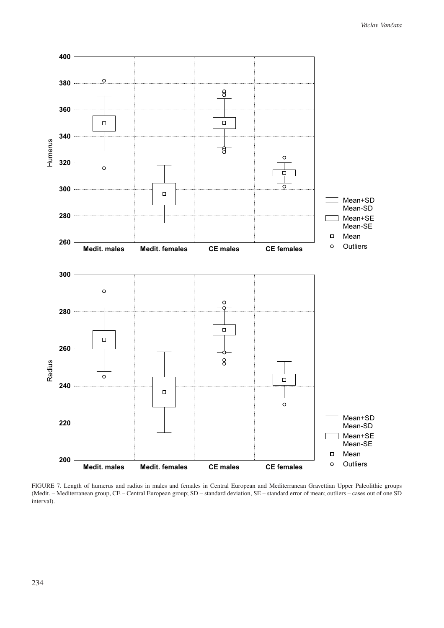

FIGURE 7. Length of humerus and radius in males and females in Central European and Mediterranean Gravettian Upper Paleolithic groups (Medit. – Mediterranean group, CE – Central European group; SD – standard deviation, SE – standard error of mean; outliers – cases out of one SD interval).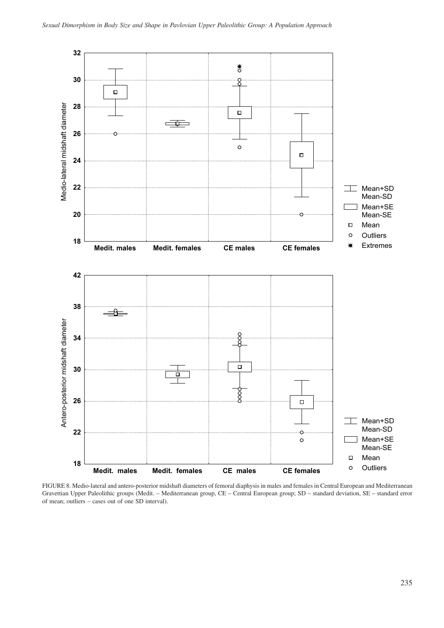

FIGURE 8. Medio-lateral and antero-posterior midshaft diameters of femoral diaphysis in males and females in Central European and Mediterranean Gravettian Upper Paleolithic groups (Medit. – Mediterranean group, CE – Central European group; SD – standard deviation, SE – standard error of mean; outliers – cases out of one SD interval).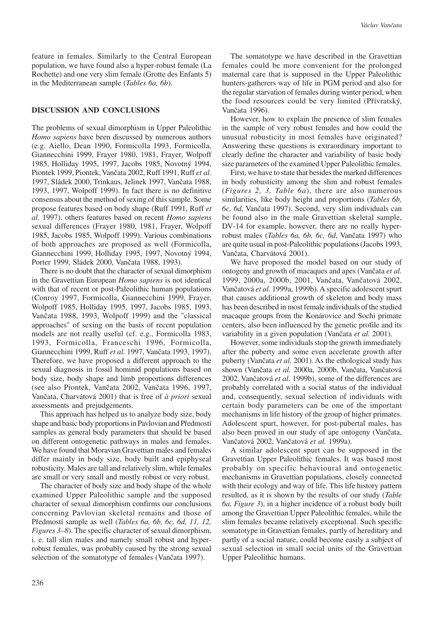feature in females. Similarly to the Central European population, we have found also a hyper-robust female (La Rochette) and one very slim female (Grotte des Enfants 5) in the Mediterranean sample (*Tables 6a, 6b*).

#### **DISCUSSION AND CONCLUSIONS**

The problems of sexual dimorphism in Upper Paleolithic *Homo sapiens* have been discussed by numerous authors (e.g. Aiello, Dean 1990, Formicolla 1993, Formicolla, Giannecchini 1999, Frayer 1980, 1981, Frayer, Wolpoff 1985, Holliday 1995, 1997, Jacobs 1985, Novotný 1994, Piontek 1999, Piontek, Vančata 2002, Ruff 1991, Ruff *et al.* 1997, Sládek 2000, Trinkaus, Jelinek 1997, Vančata 1988, 1993, 1997, Wolpoff 1999). In fact there is no definitive consensus about the method of sexing of this sample. Some propose features based on body shape (Ruff 1991, Ruff *et al.* 1997), others features based on recent *Homo sapiens* sexual differences (Frayer 1980, 1981, Frayer, Wolpoff 1985, Jacobs 1985, Wolpoff 1999). Various combinations of both approaches are proposed as well (Formicolla, Giannecchini 1999, Holliday 1995, 1997, Novotný 1994, Porter 1999, Sládek 2000, Vančata 1988, 1993).

There is no doubt that the character of sexual dimorphism in the Gravettian European *Homo sapiens* is not identical with that of recent or post-Paleolithic human populations (Conroy 1997, Formicolla, Giannecchini 1999, Frayer, Wolpoff 1985, Holliday 1995, 1997, Jacobs 1985, 1993, Vančata 1988, 1993, Wolpoff 1999) and the "classical approaches" of sexing on the basis of recent population models are not really useful (cf. e.g., Formicolla 1983, 1993, Formicolla, Franceschi 1996, Formicolla, Giannecchini 1999, Ruff *et al.* 1997, Vančata 1993, 1997). Therefore, we have proposed a different approach to the sexual diagnosis in fossil hominid populations based on body size, body shape and limb proportions differences (see also Piontek, Vančata 2002, Vančata 1996, 1997, Vančata, Charvátová 2001) that is free of *à priori* sexual assessments and prejudgements.

This approach has helped us to analyze body size, body shape and basic body proportions in Pavlovian and Předmostí samples as general body parameters that should be based on different ontogenetic pathways in males and females. We have found that Moravian Gravettian males and females differ mainly in body size, body built and epiphyseal robusticity. Males are tall and relatively slim, while females are small or very small and mostly robust or very robust.

The character of body size and body shape of the whole examined Upper Paleolithic sample and the supposed character of sexual dimorphism confirms our conclusions concerning Pavlovian skeletal remains and those of Předmostí sample as well (*Tables 6a, 6b, 6c, 6d, 11, 12, Figures 3–8*). The specific character of sexual dimorphism, i. e. tall slim males and namely small robust and hyperrobust females, was probably caused by the strong sexual selection of the somatotype of females (Vančata 1997).

The somatotype we have described in the Gravettian females could be more convenient for the prolonged maternal care that is supposed in the Upper Paleolithic hunters-gatherers way of life in PGM period and also for the regular starvation of females during winter period, when the food resources could be very limited (Přívratský, Vančata 1996).

However, how to explain the presence of slim females in the sample of very robust females and how could the unusual robusticity in most females have originated? Answering these questions is extraordinary important to clearly define the character and variability of basic body size parameters of the examined Upper Paleolithic females.

First, we have to state that besides the marked differences in body robusticity among the slim and robust females (*Figures 2, 3, Table 6a*), there are also numerous similarities, like body height and proportions (*Tables 6b, 6c, 6d*, Vančata 1997). Second, very slim individuals can be found also in the male Gravettian skeletal sample, DV-14 for example, however, there are no really hyperrobust males (*Tables 6a, 6b, 6c, 6d*, Vančata 1997) who are quite usual in post-Paleolithic populations (Jacobs 1993, Vančata, Charvátová 2001).

We have proposed the model based on our study of ontogeny and growth of macaques and apes (Vančata *et al.* 1999, 2000a, 2000b, 2001, Vančata, Vančatová 2002, Vančatová *et al.* 1999a, 1999b). A specific adolescent spurt that causes additional growth of skeleton and body mass has been described in most female individuals of the studied macaque groups from the Konárovice and Sochi primate centers, also been influenced by the genetic profile and its variability in a given population (Vančata *et al.* 2001).

However, some individuals stop the growth immediately after the puberty and some even accelerate growth after puberty (Vančata *et al.* 2001). As the ethological study has shown (Vančata *et al.* 2000a, 2000b, Vančata, Vančatová 2002, Vančatová *et al.* 1999b), some of the differences are probably correlated with a social status of the individual and, consequently, sexual selection of individuals with certain body parameters can be one of the important mechanisms in life history of the group of higher primates. Adolescent spurt, however, for post-pubertal males, has also been proved in our study of ape ontogeny (Vančata, Vančatová 2002, Vančatová *et al.* 1999a).

A similar adolescent spurt can be supposed in the Gravettian Upper Paleolithic females. It was based most probably on specific behavioural and ontogenetic mechanisms in Gravettian populations, closely connected with their ecology and way of life. This life history pattern resulted, as it is shown by the results of our study (*Table 6a, Figure 3*), in a higher incidence of a robust body built among the Gravettian Upper Paleolithic females, while the slim females became relatively exceptional. Such specific somatotype in Gravettian females, partly of hereditary and partly of a social nature, could become easily a subject of sexual selection in small social units of the Gravettian Upper Paleolithic humans.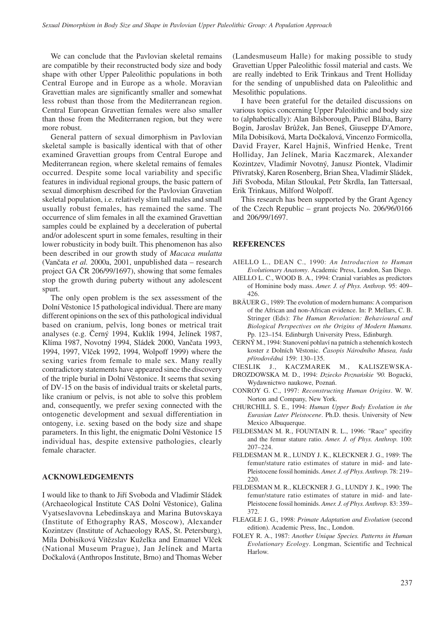We can conclude that the Pavlovian skeletal remains are compatible by their reconstructed body size and body shape with other Upper Paleolithic populations in both Central Europe and in Europe as a whole. Moravian Gravettian males are significantly smaller and somewhat less robust than those from the Mediterranean region. Central European Gravettian females were also smaller than those from the Mediterranen region, but they were more robust.

General pattern of sexual dimorphism in Pavlovian skeletal sample is basically identical with that of other examined Gravettian groups from Central Europe and Mediterranean region, where skeletal remains of females occurred. Despite some local variability and specific features in individual regional groups, the basic pattern of sexual dimorphism described for the Pavlovian Gravetian skeletal population, i.e. relatively slim tall males and small usually robust females, has remained the same. The occurrence of slim females in all the examined Gravettian samples could be explained by a deceleration of pubertal and/or adolescent spurt in some females, resulting in their lower robusticity in body built. This phenomenon has also been described in our growth study of *Macaca mulatta* (Vančata *et al.* 2000a, 2001, unpublished data – research project GA ČR 206/99/1697), showing that some females stop the growth during puberty without any adolescent spurt.

The only open problem is the sex assessment of the Dolní Věstonice 15 pathological individual. There are many different opinions on the sex of this pathological individual based on cranium, pelvis, long bones or metrical trait analyses (e.g. Černý 1994, Kuklík 1994, Jelínek 1987, Klíma 1987, Novotný 1994, Sládek 2000, Vančata 1993, 1994, 1997, Vlček 1992, 1994, Wolpoff 1999) where the sexing varies from female to male sex. Many really contradictory statements have appeared since the discovery of the triple burial in Dolní Věstonice. It seems that sexing of DV-15 on the basis of individual traits or skeletal parts, like cranium or pelvis, is not able to solve this problem and, consequently, we prefer sexing connected with the ontogenetic development and sexual differentiation in ontogeny, i.e. sexing based on the body size and shape parameters. In this light, the enigmatic Dolní Věstonice 15 individual has, despite extensive pathologies, clearly female character.

## **ACKNOWLEDGEMENTS**

I would like to thank to Jiří Svoboda and Vladimír Sládek (Archaeological Institute CAS Dolní Věstonice), Galina Vyatseslavovna Lebedinskaya and Marina Butovskaya (Institute of Ethography RAS, Moscow), Alexander Kozintzev (Institute of Achaeology RAS, St. Petersburg), Míla Dobisíková Vítězslav Kuželka and Emanuel Vlček (National Museum Prague), Jan Jelínek and Marta Dočkalová (Anthropos Institute, Brno) and Thomas Weber (Landesmuseum Halle) for making possible to study Gravettian Upper Paleolithic fossil material and casts. We are really indebted to Erik Trinkaus and Trent Holliday for the sending of unpublished data on Paleolithic and Mesolithic populations.

I have been grateful for the detailed discussions on various topics concerning Upper Paleolithic and body size to (alphabetically): Alan Bilsborough, Pavel Bláha, Barry Bogin, Jaroslav Brůžek, Jan Beneš, Giuseppe D'Amore, Míla Dobisíková, Marta Dočkalová, Vincenzo Formicolla, David Frayer, Karel Hajniš, Winfried Henke, Trent Holliday, Jan Jelínek, Maria Kaczmarek, Alexander Kozintzev, Vladimír Novotný, Janusz Piontek, Vladimir Přívratský, Karen Rosenberg, Brian Shea, Vladimír Sládek, Jiří Svoboda, Milan Stloukal, Petr Škrdla, Ian Tattersaal, Erik Trinkaus, Milford Wolpoff.

This research has been supported by the Grant Agency of the Czech Republic – grant projects No. 206/96/0166 and 206/99/1697.

#### **REFERENCES**

- AIELLO L., DEAN C., 1990: *An Introduction to Human Evolutionary Anatomy*. Academic Press, London, San Diego.
- AIELLO L. C., WOOD B. A., 1994: Cranial variables as predictors of Hominine body mass. *Amer. J. of Phys. Anthrop.* 95: 409– 426.
- BRÄUER G., 1989: The evolution of modern humans: A comparison of the African and non-African evidence. In: P. Mellars, C. B. Stringer (Eds): *The Human Revolution: Behavioural and Biological Perspectives on the Origins of Modern Humans.* Pp. 123–154. Edinburgh University Press, Edinburgh.
- ČERNÝ M., 1994: Stanovení pohlaví na patních a stehenních kostech koster z Dolních Věstonic. *Časopis Národního Musea, řada přírodovědná* 159: 130–135.
- CIESLIK J., KACZMAREK M., KALISZEWSKA-
- DROZDOWSKA M. D., 1994: *Dziecko Poznańskie '90.* Bogucki, Wydawnictwo naukowe, Poznań.
- CONROY G. C., 1997: *Reconstructing Human Origins*. W. W. Norton and Company, New York.
- CHURCHILL S. E., 1994: *Human Upper Body Evolution in the Eurasian Later Pleistocene*. Ph.D. thesis. University of New Mexico Albuquerque.
- FELDESMAN M. R., FOUNTAIN R. L., 1996: "Race" specifity and the femur stature ratio. *Amer. J. of Phys. Anthrop.* 100: 207–224.
- FELDESMAN M. R., LUNDY J. K., KLECKNER J. G., 1989: The femur/stature ratio estimates of stature in mid- and late-Pleistocene fossil hominids. *Amer. J. of Phys. Anthrop.* 78: 219– 220.
- FELDESMAN M. R., KLECKNER J. G., LUNDY J. K., 1990: The femur/stature ratio estimates of stature in mid- and late-Pleistocene fossil hominids. *Amer. J. of Phys. Anthrop.* 83: 359– 372.
- FLEAGLE J. G., 1998: *Primate Adaptation and Evolution* (second edition). Academic Press, Inc., London.
- FOLEY R. A., 1987: *Another Unique Species. Patterns in Human Evolutionary Ecology*. Longman, Scientific and Technical Harlow.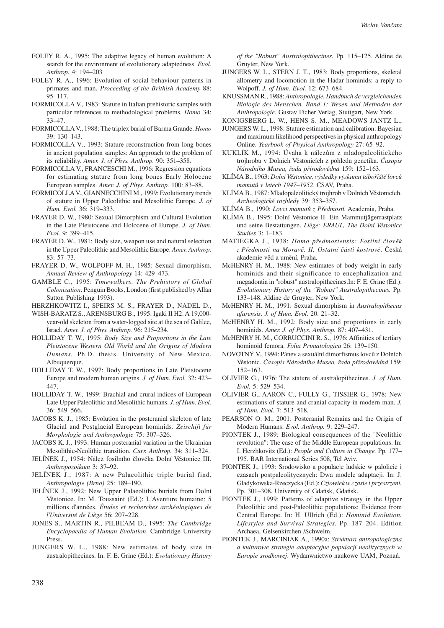- FOLEY R. A., 1995: The adaptive legacy of human evolution: A search for the environment of evolutionary adaptedness. *Evol. Anthrop.* 4: 194–203
- FOLEY R. A., 1996: Evolution of social behaviour patterns in primates and man. *Proceeding of the Brithish Academy* 88: 95–117.
- FORMICOLLA V., 1983: Stature in Italian prehistoric samples with particular references to methodological problems. *Homo* 34: 33–47.
- FORMICOLLA V., 1988: The triplex burial of Barma Grande. *Homo* 39: 130–143.
- FORMICOLLA V., 1993: Stature reconstruction from long bones in ancient population samples: An approach to the problem of its reliability. *Amer. J. of Phys. Anthrop.* 90: 351–358.
- FORMICOLLA V., FRANCESCHI M., 1996: Regression equations for estimating stature from long bones Early Holocene European samples. *Amer. J. of Phys. Anthrop.* 100: 83–88.
- FORMICOLLA V., GIANNECCHINI M., 1999: Evolutionary trends of stature in Upper Paleolithic and Mesolithic Europe. *J. of Hum. Evol.* 36: 319–333.
- FRAYER D. W., 1980: Sexual Dimorphism and Cultural Evolution in the Late Pleistocene and Holocene of Europe. *J. of Hum. Evol.* 9: 399–415.
- FRAYER D. W., 1981: Body size, weapon use and natural selection in the Upper Paleolithic and Mesolithic Europe. *Amer. Anthrop.* 83: 57–73.
- FRAYER D. W., WOLPOFF M. H., 1985: Sexual dimorphism. *Annual Review of Anthropology* 14: 429–473.
- GAMBLE C., 1995: *Timewalkers. The Prehistory of Global Colonization*. Penguin Books, London (first published by Allan Sutton Publishing 1993).
- HERZHKOWITZ I., SPEIRS M. S., FRAYER D., NADEL D.,
- WISH-BARATZ S., ARENSBURG B., 1995: Igaki II H2: A 19,000 year-old skeleton from a water-logged site at the sea of Galilee, Israel. *Amer. J. of Phys. Anthrop.* 96: 215–234.
- HOLLIDAY T. W., 1995: *Body Size and Proportions in the Late Pleistocene Western Old World and the Origins of Modern Humans.* Ph.D. thesis. University of New Mexico, Albuquerque.
- HOLLIDAY T. W., 1997: Body proportions in Late Pleistocene Europe and modern human origins. *J. of Hum. Evol.* 32: 423– 447.
- HOLLIDAY T. W., 1999: Brachial and crural indices of European Late Upper Paleolithic and Mesolithic humans. *J. of Hum. Evol.* 36: 549–566.
- JACOBS K. J., 1985: Evolution in the postcranial skeleton of late Glacial and Postglacial European hominids. *Zeischift für Morphologie und Anthropologie* 75: 307–326.
- JACOBS K. J., 1993: Human postcranial variation in the Ukrainian Mesolithic-Neolithic transition. *Curr. Anthrop.* 34: 311–324.
- JELÍNEK J., 1954: Nález fosilního člověka Dolní Věstonice III. *Anthropozoikum* 3: 37–92.
- JELÍNEK J., 1987: A new Palaeolithic triple burial find. *Anthropologie (Brno)* 25: 189–190.
- JELÍNEK J., 1992: New Upper Palaeolithic burials from Dolní Věstonice. In: M. Toussaint (Ed.): L'Aventure humaine: 5 millions d'années. *Études et recherches archéologiques de l'Université de Liège* 56: 207–228.
- JONES S., MARTIN R., PILBEAM D., 1995: *The Cambridge Encyclopaedia of Human Evolution*. Cambridge University Press.
- JUNGERS W. L., 1988: New estimates of body size in australopithecines. In: F. E. Grine (Ed.): *Evolutionary History*

*of the "Robust" Australopithecines.* Pp. 115–125. Aldine de Gruyter, New York.

- JUNGERS W. L., STERN J. T., 1983: Body proportions, skeletal allometry and locomotion in the Hadar hominids: a reply to Wolpoff. *J. of Hum. Evol.* 12: 673–684.
- KNUSSMAN R., 1988: *Anthropologie. Handbuch de vergleichenden Biologie des Menschen. Band 1: Wesen und Methoden der Anthropologie.* Gustav Ficher Verlag, Stuttgart, New York.
- KONIGSBERG L. W., HENS S. M., MEADOWS JANTZ L.,
- JUNGERS W. L., 1998: Stature estimation and calibration: Bayesian and maximum likelihood perspectives in physical anthropology Online. *Yearbook of Physical Anthropology* 27: 65–92.
- KUKLÍK M., 1994: Úvaha k nálezům z mladopaleolitického trojhrobu v Dolních Věstonicích z pohledu genetika. *Časopis Národního Musea, řada přírodovědná* 159: 152–163.
- KLÍMA B., 1963: *Dolní Věstonice, výsledky výzkumu tábořiště lovců mamutů v letech 1947–1952*. ČSAV, Praha.
- KLÍMA B., 1987: Mladopaleolitický trojhrob v Dolních Věstonicích. *Archeologické rozhledy* 39: 353–357.
- KLÍMA B., 1990: *Lovci mamutů z Předmostí.* Academia, Praha.
- KLÍMA B., 1995: Dolní Věstonice II. Ein Mammutjägerrastplatz und seine Bestattungen. *Liège: ERAUL, The Dolní Věstonice Studies* 3: 1–183.
- MATIEGKA J., 1938: *Homo předmostensis: Fosilní člověk z Předmostí na Moravě. II. Ostatní části kostrové*. Česká akademie věd a umění, Praha.
- McHENRY H. M., 1988: New estimates of body weight in early hominids and their significance to encephalization and megadontia in "robust" australopithecines.In: F. E. Grine (Ed.): *Evolutionary History of the "Robust" Australopithecines.* Pp. 133–148. Aldine de Gruyter, New York.
- McHENRY H. M., 1991: Sexual dimorphism in *Australopithecus afarensis*. *J. of Hum. Evol.* 20: 21–32.
- McHENRY H. M., 1992: Body size and proportions in early hominids. *Amer. J. of Phys. Anthrop.* 87: 407–431.
- McHENRY H. M., CORRUCCINI R. S., 1976: Affinities of tertiary hominoid femora. *Folia Primatologica* 26: 139–150.
- NOVOTNÝ V., 1994: Pánev a sexuální dimorfismus lovců z Dolních Věstonic. *Časopis Národního Musea, řada přírodovědná* 159: 152–163.
- OLIVIER G., 1976: The stature of australopithecines. *J. of Hum. Evol.* 5: 529–534.
- OLIVIER G., AARON C., FULLY G., TISSIER G., 1978: New estimations of stature and cranial capacity in modern man. *J. of Hum. Evol.* 7: 513–518.
- PEARSON O. M., 2001: Postcranial Remains and the Origin of Modern Humans. *Evol. Anthrop.* 9: 229–247.
- PIONTEK J., 1989: Biological consequences of the "Neolithic revolution": The case of the Middle European populations. In: I. Herzhkovitz (Ed.): *People and Culture in Change.* Pp. 177– 195. BAR International Series 508, Tel Aviv.
- PIONTEK J., 1993: Srodowisko a populacje ludskie w palolicie i czasach postpaleolitycznych: Dwa modele adaptacji. In: J. Gladykowska-Rzeczycka (Ed.): *Czlowiek w czasie i przestrzeni.* Pp. 301–308. University of Gdańsk, Gdańsk.
- PIONTEK J., 1999: Patterns of adaptive strategy in the Upper Paleolithic and post-Paleolithic populations: Evidence from Central Europe. In: H. Ullrich (Ed.): *Hominid Evolution. Lifestyles and Survival Strategies.* Pp. 187–204. Edition Archaea, Gelsenkirchen /Schwelm.
- PIONTEK J., MARCINIAK A., 1990a: *Struktura antropologiczna a kulturowe strategie adaptacyjne populacji neolitycznych w Europie srodkowej*. Wydanwnictwo naukowe UAM, Poznań.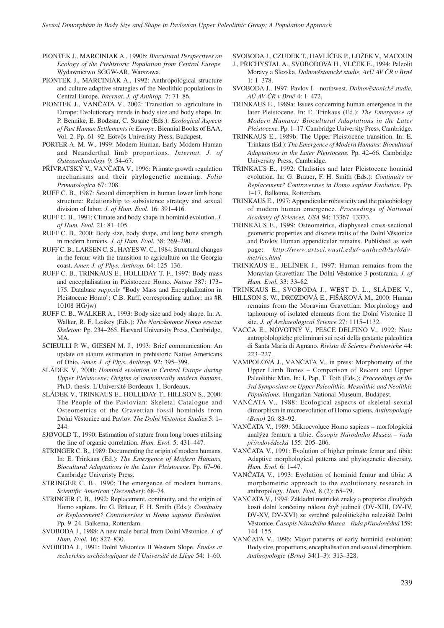- PIONTEK J., MARCINIAK A., 1990b: *Biocultural Perspectives on Ecology of the Prehistoric Population from Central Europe.* Wydawnictwo SGGW-AR, Warszawa.
- PIONTEK J., MARCINIAK A., 1992: Anthropological structure and culture adaptive strategies of the Neolithic populations in Central Europe. *Internat. J. of Anthrop.* 7: 71–86.
- PIONTEK J., VANČATA V., 2002: Transition to agriculture in Europe: Evolutionary trends in body size and body shape. In: P. Bennike, E. Bodzsar, C. Susane (Eds.): *Ecological Aspects of Past Human Settlements in Europe*. Biennial Books of EAA, Vol. 2. Pp. 61–92. Eötvös Univeristy Press, Budapest.
- PORTER A. M. W., 1999: Modern Human, Early Modern Human and Neanderthal limb proportions. *Internat. J. of Osteoarchaeology* 9: 54–67.
- PŘÍVRATSKÝ V., VANČATA V., 1996: Primate growth regulation mechanisms and their phylogenetic meaning. *Folia Primatologica* 67: 208.
- RUFF C. B., 1987: Sexual dimorphism in human lower limb bone structure: Relationship to subsistence strategy and sexual division of labor. *J. of Hum. Evol.* 16: 391–416.
- RUFF C. B., 1991: Climate and body shape in hominid evolution. *J. of Hum. Evol.* 21: 81–105.
- RUFF C. B., 2000: Body size, body shape, and long bone strength in modern humans. *J. of Hum. Evol.* 38: 269–290.
- RUFF C. B., LARSEN C. S., HAYES W. C., 1984: Structural changes in the femur with the transition to agriculture on the Georgia coast. *Amer. J. of Phys. Anthrop.* 64: 125–136.
- RUFF C. B., TRINKAUS E., HOLLIDAY T. F., 1997: Body mass and encephalisation in Pleistocene Homo. *Nature* 387: 173– 175. Database *supp.xls* "Body Mass and Encephalization in Pleistocene Homo"; C.B. Ruff, corresponding author; ms #R 10108 HG/jw)
- RUFF C. B., WALKER A., 1993: Body size and body shape. In: A. Walker, R. E. Leakey (Eds.): *The Nariokotome Homo erectus Skeleton:* Pp. 234–265. Harvard University Press, Cambridge, MA.
- SCIEULLI P. W., GIESEN M. J., 1993: Brief communication: An update on stature estimation in prehistoric Native Americans of Ohio. *Amer. J. of Phys. Anthrop.* 92: 395–399.
- SLÁDEK V., 2000: *Hominid evolution in Central Europe during Upper Pleistocene: Origins of anatomically modern humans*. Ph.D. thesis. L'Université Bordeaux 1, Bordeaux.
- SLÁDEK V., TRINKAUS E., HOLLIDAY T., HILLSON S., 2000: The People of the Pavlovian: Skeletal Catalogue and Osteometrics of the Gravettian fossil hominids from Dolní Věstonice and Pavlov. *The Dolní Věstonice Studies* 5: 1– 244.
- SJØVOLD T., 1990: Estimation of stature from long bones utilising the line of organic correlation. *Hum. Evol.* 5: 431–447.
- STRINGER C. B., 1989: Documenting the origin of modern humans. In: E. Trinkaus (Ed.): *The Emergence of Modern Humans, Biocultural Adaptations in the Later Pleistocene.* Pp. 67–96. Cambridge Univeristy Press.
- STRINGER C. B., 1990: The emergence of modern humans. *Scientific American (December)*: 68–74.
- STRINGER C. B., 1992: Replacement, continuity, and the origin of Homo sapiens. In: G. Bräuer, F. H. Smith (Eds.): *Continuity or Replacement? Controversies in Homo sapiens Evolution.* Pp. 9–24. Balkema, Rotterdam.
- SVOBODA J., 1988: A new male burial from Dolní Věstonice. *J. of Hum. Evol.* 16: 827–830.
- SVOBODA J., 1991: Dolní Věstonice II Western Slope. *Études et recherches archéologiques de l'Université de Liège* 54: 1–60.

SVOBODA J., CZUDEK T., HAVLÍČEK P., LOŽEK V., MACOUN

- J., PŘICHYSTAL A., SVOBODOVÁ H., VLČEK E., 1994: Paleolit Moravy a Slezska. *Dolnověstonické studie, ArÚ AV ČR v Brně*  $1: 1 - 378$ .
- SVOBODA J., 1997: Pavlov I northwest. *Dolnověstonické studie, AÚ AV ČR v Brně* 4: 1–472.
- TRINKAUS E., 1989a: Issues concerning human emergence in the later Pleistocene. In: E. Trinkaus (Ed.): *The Emergence of Modern Humans: Biocultural Adaptations in the Later Pleistocene.* Pp. 1–17. Cambridge University Press, Cambridge.
- TRINKAUS E., 1989b: The Upper Pleistocene transition. In: E. Trinkaus (Ed.): *The Emergence of Modern Humans: Biocultural Adaptations in the Later Pleistocene.* Pp. 42–66. Cambridge University Press, Cambridge.
- TRINKAUS E., 1992: Cladistics and later Pleistocene hominid evolution. In: G. Bräuer, F. H. Smith (Eds.): *Continuity or Replacement? Controversies in Homo sapiens Evolution*, Pp. 1–17. Balkema, Rotterdam.
- TRINKAUS E., 1997: Appendicular robusticity and the paleobiology of modern human emergence. *Proceedings of National Academy of Sciences, USA* 94: 13367–13373.
- TRINKAUS E., 1999: Osteometrics, diaphyseal cross-sectional geometric properties and discrete traits of the Dolní Věstonice and Pavlov Human appendicular remains. Published as web page: *http://www.artsci.wustl.edu/~anthro/blurb/dvmetrics.html*
- TRINKAUS E., JELÍNEK J., 1997: Human remains from the Moravian Gravettian: The Dolní Věstonice 3 postcrania. *J. of Hum. Evol.* 33: 33–82.
- TRINKAUS E., SVOBODA J., WEST D. L., SLÁDEK V.,
- HILLSON S. W., DROZDOVÁ E., FIŠÁKOVÁ M., 2000: Human remains from the Moravian Gravettian: Morphology and taphonomy of isolated elements from the Dolní Vìstonice II site. *J. of Archaeological Science* 27: 1115–1132.
- VACCA E., NOVOTNÝ V., PESCE DELFINO V., 1992: Note antropolologiche preliminari sui resti della gestante paleolitica di Santa Maria di Agnano. *Rivista di Scienze Preistoriche* 44: 223–227.
- VAMPOLOVÁ J., VANČATA V., in press: Morphometry of the Upper Limb Bones – Comparison of Recent and Upper Paleolithic Man. In: I. Pap, T. Toth (Eds.): *Proceedings of the 3rd Symposium on Upper Paleolithic, Mesolithic and Neolithic Populations.* Hungarian National Museum, Budapest.
- VANČATA V., 1988: Ecological aspects of skeletal sexual dimorphism in microevolution of Homo sapiens. *Anthropologie (Brno)* 26: 83–92.
- VANČATA V., 1989: Mikroevoluce Homo sapiens morfologická analýza femuru a tibie. *Časopis Národního Musea – řada přírodovědecká* 155: 205–206.
- VANČATA V., 1991: Evolution of higher primate femur and tibia: Adaptive morphological patterns and phylogenetic diversity. *Hum. Evol.* 6: 1–47.
- VANČATA V., 1993: Evolution of hominid femur and tibia: A morphometric approach to the evolutionary research in anthropology. *Hum. Evol.* 8 (2): 65–79.
- VANČATA V., 1994: Základní metrické znaky a proporce dlouhých kostí dolní končetiny nálezu čtyř jedinců (DV-XIII, DV-IV, DV-XV, DV-XVI) ze svrchně paleolitického naleziště Dolní Věstonice. *Časopis Národního Musea – řada přírodovědná* 159: 144–155.
- VANČATA V., 1996: Major patterns of early hominid evolution: Body size, proportions, encephalisation and sexual dimorphism. *Anthropologie (Brno)* 34(1–3): 313–328.